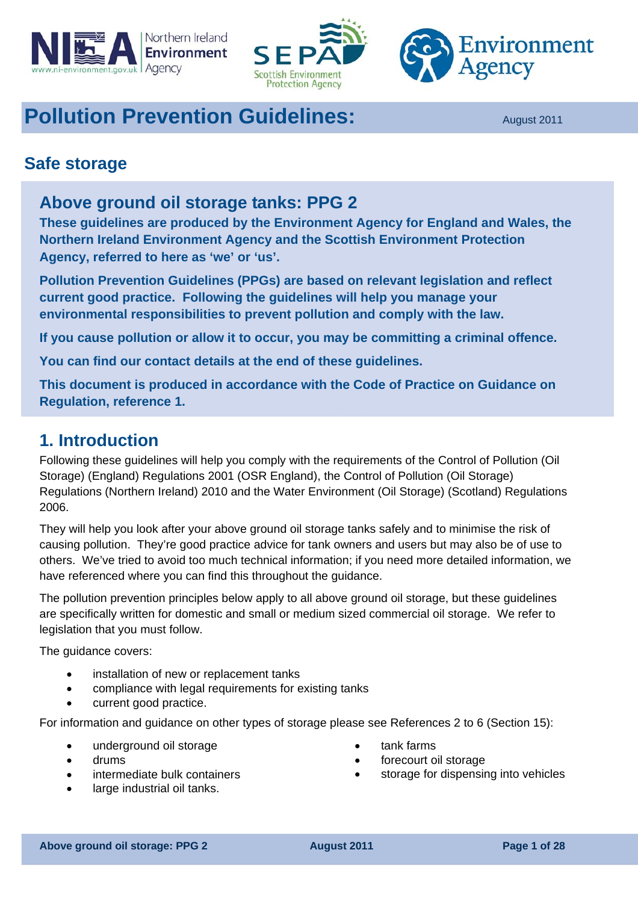<span id="page-0-0"></span>





# **Pollution Prevention Guidelines:** August 2011

## **Safe storage**

## **Above ground oil storage tanks: PPG 2**

**These guidelines are produced by the Environment Agency for England and Wales, the Northern Ireland Environment Agency and the Scottish Environment Protection Agency, referred to here as 'we' or 'us'.** 

**Pollution Prevention Guidelines (PPGs) are based on relevant legislation and reflect current good practice. Following the guidelines will help you manage your environmental responsibilities to prevent pollution and comply with the law.** 

**If you cause pollution or allow it to occur, you may be committing a criminal offence.** 

**You can find our contact details at the end of these guidelines.** 

**This document is produced in accordance with the Code of Practice on Guidance on Regulation, reference 1.** 

## **1. Introduction**

Following these guidelines will help you comply with the requirements of the Control of Pollution (Oil Storage) (England) Regulations 2001 (OSR England), the Control of Pollution (Oil Storage) Regulations (Northern Ireland) 2010 and the Water Environment (Oil Storage) (Scotland) Regulations 2006.

They will help you look after your above ground oil storage tanks safely and to minimise the risk of causing pollution. They're good practice advice for tank owners and users but may also be of use to others. We've tried to avoid too much technical information; if you need more detailed information, we have referenced where you can find this throughout the guidance.

The pollution prevention principles below apply to all above ground oil storage, but these guidelines are specifically written for domestic and small or medium sized commercial oil storage. We refer to legislation that you must follow.

The guidance covers:

- installation of new or replacement tanks
- compliance with legal requirements for existing tanks
- current good practice.

For information and guidance on other types of storage please see References 2 to 6 (Section 15):

- underground oil storage
- drums
- intermediate bulk containers
- large industrial oil tanks.
- tank farms
- forecourt oil storage
- storage for dispensing into vehicles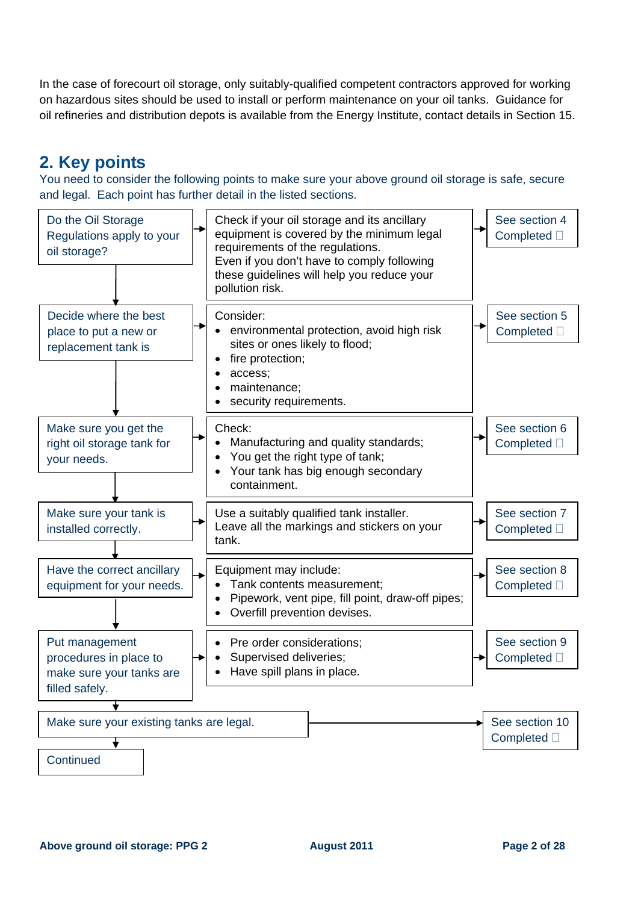In the case of forecourt oil storage, only suitably-qualified competent contractors approved for working on hazardous sites should be used to install or perform maintenance on your oil tanks. Guidance for oil refineries and distribution depots is available from the Energy Institute, contact details in Section 15.

## **2. Key points**

You need to consider the following points to make sure your above ground oil storage is safe, secure and legal. Each point has further detail in the listed sections.

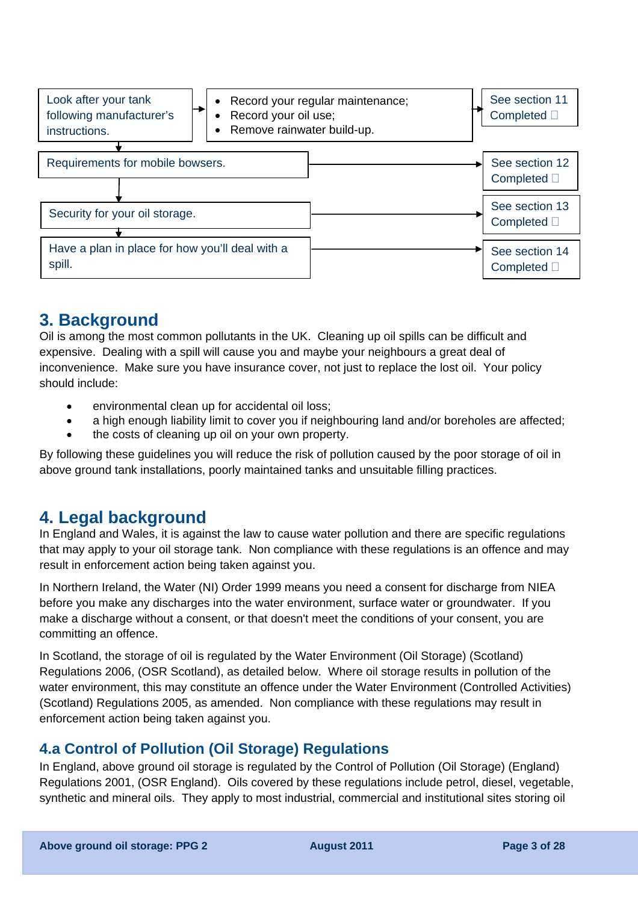

## **3. Background**

Oil is among the most common pollutants in the UK. Cleaning up oil spills can be difficult and expensive. Dealing with a spill will cause you and maybe your neighbours a great deal of inconvenience. Make sure you have insurance cover, not just to replace the lost oil. Your policy should include:

- environmental clean up for accidental oil loss:
- a high enough liability limit to cover you if neighbouring land and/or boreholes are affected;
- the costs of cleaning up oil on your own property.

By following these guidelines you will reduce the risk of pollution caused by the poor storage of oil in above ground tank installations, poorly maintained tanks and unsuitable filling practices.

## **4. Legal background**

In England and Wales, it is against the law to cause water pollution and there are specific regulations that may apply to your oil storage tank. Non compliance with these regulations is an offence and may result in enforcement action being taken against you.

In Northern Ireland, the Water (NI) Order 1999 means you need a consent for discharge from NIEA before you make any discharges into the water environment, surface water or groundwater. If you make a discharge without a consent, or that doesn't meet the conditions of your consent, you are committing an offence.

In Scotland, the storage of oil is regulated by the Water Environment (Oil Storage) (Scotland) Regulations 2006, (OSR Scotland), as detailed below. Where oil storage results in pollution of the water environment, this may constitute an offence under the Water Environment (Controlled Activities) (Scotland) Regulations 2005, as amended. Non compliance with these regulations may result in enforcement action being taken against you.

## **4.a Control of Pollution (Oil Storage) Regulations**

In England, above ground oil storage is regulated by the Control of Pollution (Oil Storage) (England) Regulations 2001, (OSR England). Oils covered by these regulations include petrol, diesel, vegetable, synthetic and mineral oils. They apply to most industrial, commercial and institutional sites storing oil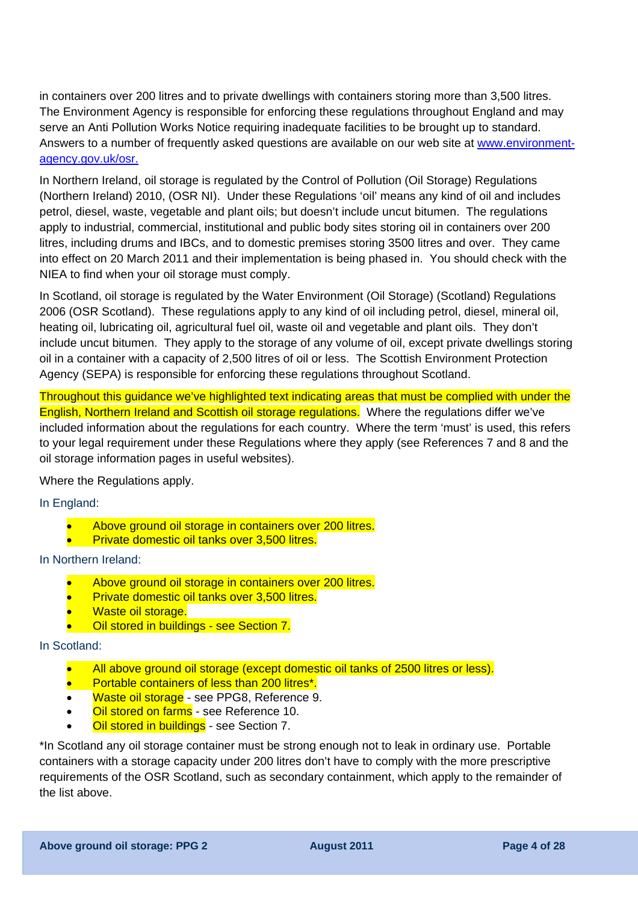in containers over 200 litres and to private dwellings with containers storing more than 3,500 litres. The Environment Agency is responsible for enforcing these regulations throughout England and may serve an Anti Pollution Works Notice requiring inadequate facilities to be brought up to standard. Answers to a number of frequently asked questions are available on our web site at [www.environment](http://www.environment-agency.gov.uk/osr)[agency.gov.uk/osr](http://www.environment-agency.gov.uk/osr).

In Northern Ireland, oil storage is regulated by the Control of Pollution (Oil Storage) Regulations (Northern Ireland) 2010, (OSR NI). Under these Regulations 'oil' means any kind of oil and includes petrol, diesel, waste, vegetable and plant oils; but doesn't include uncut bitumen. The regulations apply to industrial, commercial, institutional and public body sites storing oil in containers over 200 litres, including drums and IBCs, and to domestic premises storing 3500 litres and over. They came into effect on 20 March 2011 and their implementation is being phased in. You should check with the NIEA to find when your oil storage must comply.

In Scotland, oil storage is regulated by the Water Environment (Oil Storage) (Scotland) Regulations 2006 (OSR Scotland). These regulations apply to any kind of oil including petrol, diesel, mineral oil, heating oil, lubricating oil, agricultural fuel oil, waste oil and vegetable and plant oils. They don't include uncut bitumen. They apply to the storage of any volume of oil, except private dwellings storing oil in a container with a capacity of 2,500 litres of oil or less. The Scottish Environment Protection Agency (SEPA) is responsible for enforcing these regulations throughout Scotland.

Throughout this guidance we've highlighted text indicating areas that must be complied with under the English, Northern Ireland and Scottish oil storage regulations. Where the regulations differ we've included information about the regulations for each country. Where the term 'must' is used, this refers to your legal requirement under these Regulations where they apply (see References 7 and 8 and the oil storage information pages in useful websites).

Where the Regulations apply.

In England:

- Above ground oil storage in containers over 200 litres.
- Private domestic oil tanks over 3,500 litres.

In Northern Ireland:

- Above ground oil storage in containers over 200 litres.
- Private domestic oil tanks over 3,500 litres.
- Waste oil storage.
- Oil stored in buildings see Section 7.

#### In Scotland:

- All above ground oil storage (except domestic oil tanks of 2500 litres or less).
- Portable containers of less than 200 litres\*.
- Waste oil storage see PPG8, Reference 9.
- **Oil stored on farms** see Reference 10.
- **Oil stored in buildings** see Section 7.

\*In Scotland any oil storage container must be strong enough not to leak in ordinary use. Portable containers with a storage capacity under 200 litres don't have to comply with the more prescriptive requirements of the OSR Scotland, such as secondary containment, which apply to the remainder of the list above.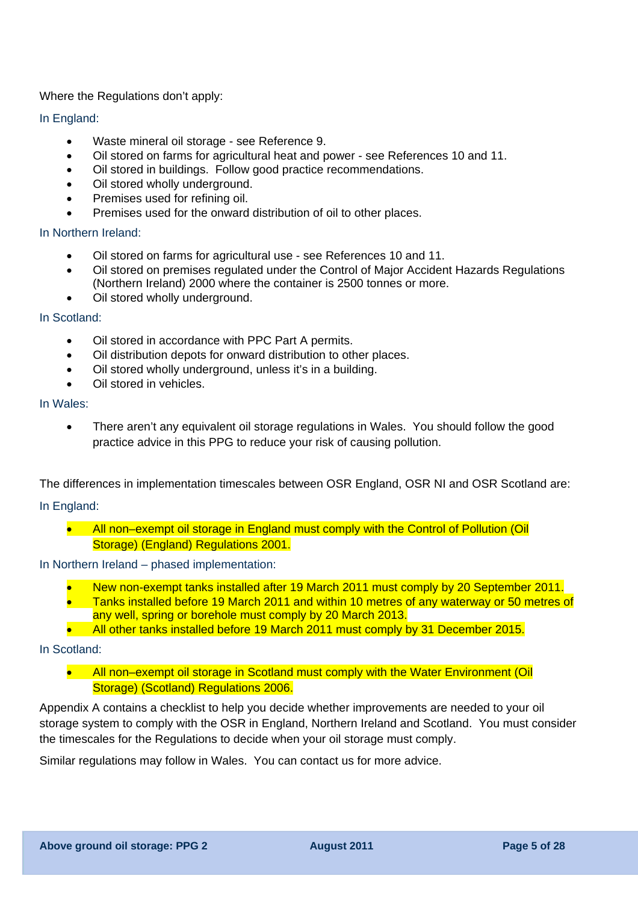Where the Regulations don't apply:

#### In England:

- Waste mineral oil storage see Reference 9.
- Oil stored on farms for agricultural heat and power see References 10 and 11.
- Oil stored in buildings. Follow good practice recommendations.
- Oil stored wholly underground.
- Premises used for refining oil.
- Premises used for the onward distribution of oil to other places.

#### In Northern Ireland:

- Oil stored on farms for agricultural use see References 10 and 11.
- Oil stored on premises regulated under the Control of Major Accident Hazards Regulations (Northern Ireland) 2000 where the container is 2500 tonnes or more.
- Oil stored wholly underground.

#### In Scotland:

- Oil stored in accordance with PPC Part A permits.
- Oil distribution depots for onward distribution to other places.
- Oil stored wholly underground, unless it's in a building.
- Oil stored in vehicles.

#### In Wales:

• There aren't any equivalent oil storage regulations in Wales. You should follow the good practice advice in this PPG to reduce your risk of causing pollution.

The differences in implementation timescales between OSR England, OSR NI and OSR Scotland are:

#### In England:

• All non–exempt oil storage in England must comply with the Control of Pollution (Oil Storage) (England) Regulations 2001.

#### In Northern Ireland – phased implementation:

- New non-exempt tanks installed after 19 March 2011 must comply by 20 September 2011.
- Tanks installed before 19 March 2011 and within 10 metres of any waterway or 50 metres of any well, spring or borehole must comply by 20 March 2013.
- All other tanks installed before 19 March 2011 must comply by 31 December 2015.

#### In Scotland:

• All non–exempt oil storage in Scotland must comply with the Water Environment (Oil Storage) (Scotland) Regulations 2006.

Appendix A contains a checklist to help you decide whether improvements are needed to your oil storage system to comply with the OSR in England, Northern Ireland and Scotland. You must consider the timescales for the Regulations to decide when your oil storage must comply.

Similar regulations may follow in Wales. You can contact us for more advice.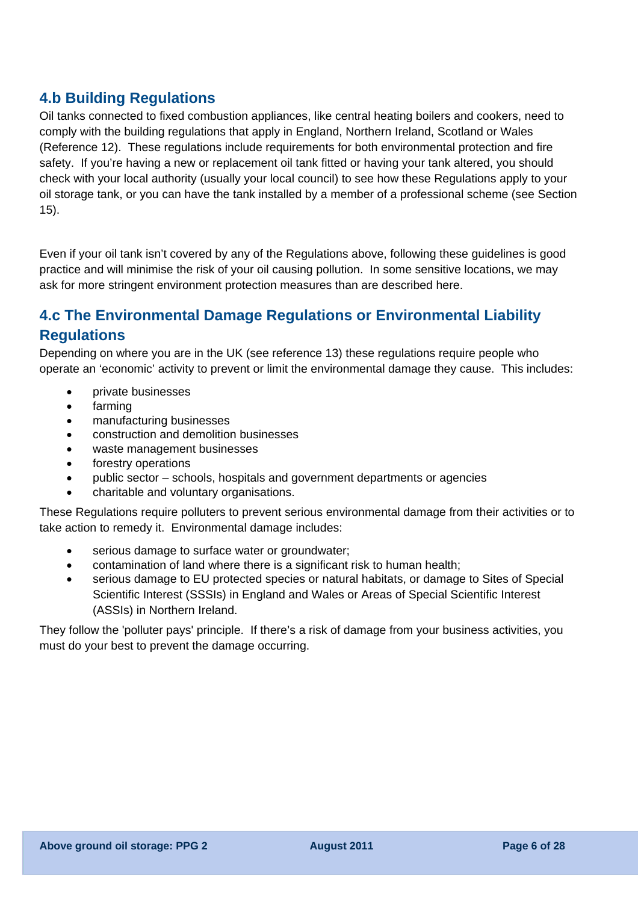## **4.b Building Regulations**

Oil tanks connected to fixed combustion appliances, like central heating boilers and cookers, need to comply with the building regulations that apply in England, Northern Ireland, Scotland or Wales (Reference 12). These regulations include requirements for both environmental protection and fire safety. If you're having a new or replacement oil tank fitted or having your tank altered, you should check with your local authority (usually your local council) to see how these Regulations apply to your oil storage tank, or you can have the tank installed by a member of a professional scheme (see Section 15).

Even if your oil tank isn't covered by any of the Regulations above, following these guidelines is good practice and will minimise the risk of your oil causing pollution. In some sensitive locations, we may ask for more stringent environment protection measures than are described here.

## **4.c The [Environmental Damage Regulations or Environmental Liability](#page-0-0)  [Regulations](#page-0-0)**

Depending on where you are in the UK (see reference 13) these regulations require people who operate an 'economic' activity to prevent or limit the environmental damage they cause. This includes:

- private businesses
- farming
- manufacturing businesses
- construction and demolition businesses
- waste management businesses
- forestry operations
- public sector schools, hospitals and government departments or agencies
- charitable and voluntary organisations.

These Regulations require polluters to prevent serious environmental damage from their activities or to take action to remedy it. Environmental damage includes:

- serious damage to surface water or groundwater;
- contamination of land where there is a significant risk to human health;
- serious damage to EU protected species or natural habitats, or damage to Sites of Special Scientific Interest (SSSIs) in England and Wales or Areas of Special Scientific Interest (ASSIs) in Northern Ireland.

They follow the 'polluter pays' principle. If there's a risk of damage from your business activities, you must do your best to prevent the damage occurring.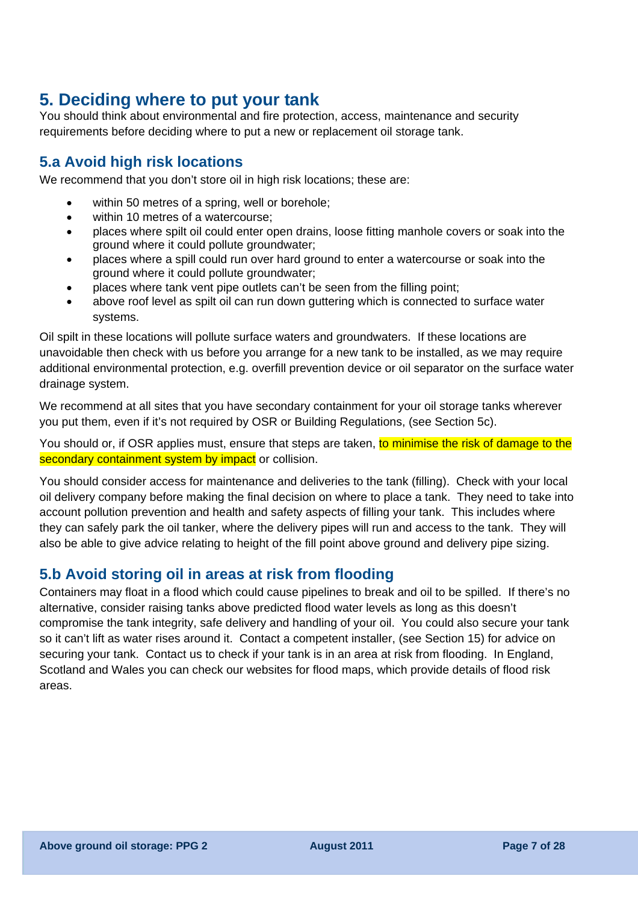## **5. Deciding where to put your tank**

You should think about environmental and fire protection, access, maintenance and security requirements before deciding where to put a new or replacement oil storage tank.

## **5.a Avoid high risk locations**

We recommend that you don't store oil in high risk locations; these are:

- within 50 metres of a spring, well or borehole;
- within 10 metres of a watercourse:
- places where spilt oil could enter open drains, loose fitting manhole covers or soak into the ground where it could pollute groundwater;
- places where a spill could run over hard ground to enter a watercourse or soak into the ground where it could pollute groundwater;
- places where tank vent pipe outlets can't be seen from the filling point;
- above roof level as spilt oil can run down guttering which is connected to surface water systems.

Oil spilt in these locations will pollute surface waters and groundwaters. If these locations are unavoidable then check with us before you arrange for a new tank to be installed, as we may require additional environmental protection, e.g. overfill prevention device or oil separator on the surface water drainage system.

We recommend at all sites that you have secondary containment for your oil storage tanks wherever you put them, even if it's not required by OSR or Building Regulations, (see Section 5c).

You should or, if OSR applies must, ensure that steps are taken, to minimise the risk of damage to the secondary containment system by impact or collision.

You should consider access for maintenance and deliveries to the tank (filling). Check with your local oil delivery company before making the final decision on where to place a tank. They need to take into account pollution prevention and health and safety aspects of filling your tank. This includes where they can safely park the oil tanker, where the delivery pipes will run and access to the tank. They will also be able to give advice relating to height of the fill point above ground and delivery pipe sizing.

## **5.b Avoid storing oil in areas at risk from flooding**

Containers may float in a flood which could cause pipelines to break and oil to be spilled. If there's no alternative, consider raising tanks above predicted flood water levels as long as this doesn't compromise the tank integrity, safe delivery and handling of your oil. You could also secure your tank so it can't lift as water rises around it. Contact a competent installer, (see Section 15) for advice on securing your tank. Contact us to check if your tank is in an area at risk from flooding. In England, Scotland and Wales you can check our websites for flood maps, which provide details of flood risk areas.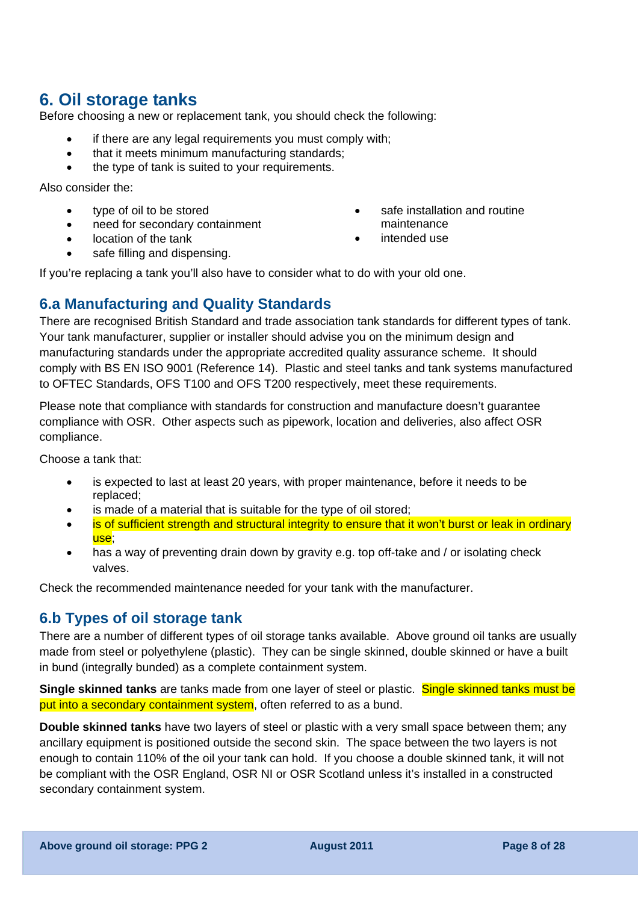## **6. Oil storage tanks**

Before choosing a new or replacement tank, you should check the following:

- if there are any legal requirements you must comply with;
- that it meets minimum manufacturing standards;
- the type of tank is suited to your requirements.

Also consider the:

- type of oil to be stored
- need for secondary containment
- location of the tank
- safe filling and dispensing.
- safe installation and routine maintenance
- intended use

If you're replacing a tank you'll also have to consider what to do with your old one.

### **6.a Manufacturing and Quality Standards**

There are recognised British Standard and trade association tank standards for different types of tank. Your tank manufacturer, supplier or installer should advise you on the minimum design and manufacturing standards under the appropriate accredited quality assurance scheme. It should comply with BS EN ISO 9001 (Reference 14). Plastic and steel tanks and tank systems manufactured to OFTEC Standards, OFS T100 and OFS T200 respectively, meet these requirements.

Please note that compliance with standards for construction and manufacture doesn't guarantee compliance with OSR. Other aspects such as pipework, location and deliveries, also affect OSR compliance.

Choose a tank that:

- is expected to last at least 20 years, with proper maintenance, before it needs to be replaced;
- is made of a material that is suitable for the type of oil stored;
- is of sufficient strength and structural integrity to ensure that it won't burst or leak in ordinary use;
- has a way of preventing drain down by gravity e.g. top off-take and / or isolating check valves.

Check the recommended maintenance needed for your tank with the manufacturer.

## **6.b Types of oil storage tank**

There are a number of different types of oil storage tanks available. Above ground oil tanks are usually made from steel or polyethylene (plastic). They can be single skinned, double skinned or have a built in bund (integrally bunded) as a complete containment system.

**Single skinned tanks** are tanks made from one layer of steel or plastic. Single skinned tanks must be put into a secondary containment system, often referred to as a bund.

**Double skinned tanks** have two layers of steel or plastic with a very small space between them; any ancillary equipment is positioned outside the second skin. The space between the two layers is not enough to contain 110% of the oil your tank can hold. If you choose a double skinned tank, it will not be compliant with the OSR England, OSR NI or OSR Scotland unless it's installed in a constructed secondary containment system.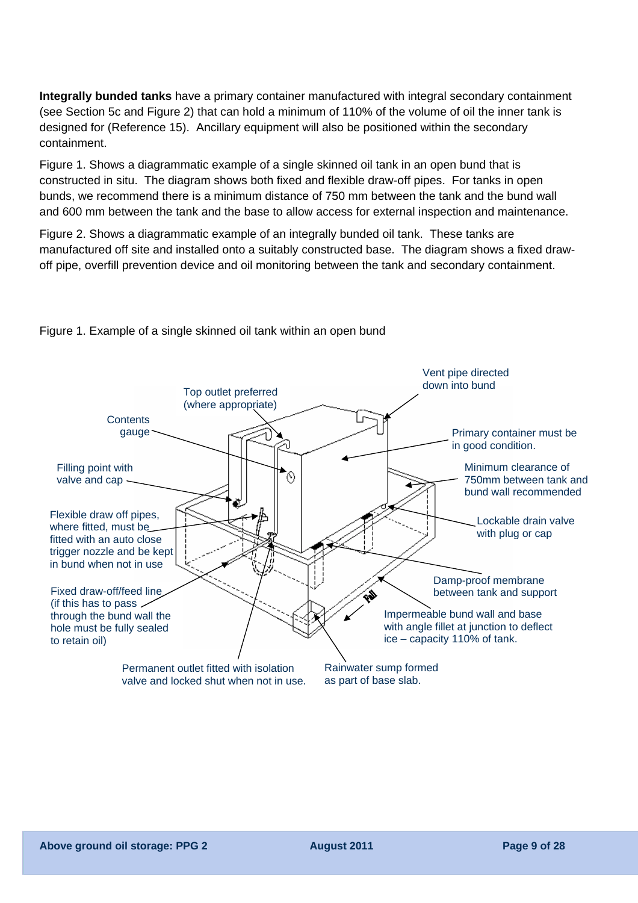**Integrally bunded tanks** have a primary container manufactured with integral secondary containment (see Section 5c and Figure 2) that can hold a minimum of 110% of the volume of oil the inner tank is designed for (Reference 15). Ancillary equipment will also be positioned within the secondary containment.

Figure 1. Shows a diagrammatic example of a single skinned oil tank in an open bund that is constructed in situ. The diagram shows both fixed and flexible draw-off pipes. For tanks in open bunds, we recommend there is a minimum distance of 750 mm between the tank and the bund wall and 600 mm between the tank and the base to allow access for external inspection and maintenance.

Figure 2. Shows a diagrammatic example of an integrally bunded oil tank. These tanks are manufactured off site and installed onto a suitably constructed base. The diagram shows a fixed drawoff pipe, overfill prevention device and oil monitoring between the tank and secondary containment.



Figure 1. Example of a single skinned oil tank within an open bund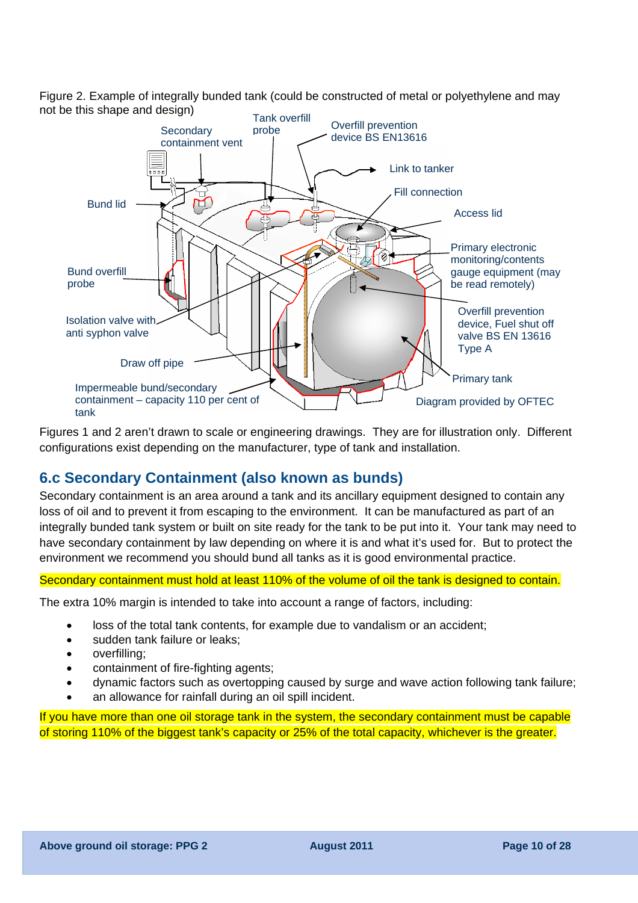Figure 2. Example of integrally bunded tank (could be constructed of metal or polyethylene and may not be this shape and design)



Figures 1 and 2 aren't drawn to scale or engineering drawings. They are for illustration only. Different configurations exist depending on the manufacturer, type of tank and installation.

## **6.c Secondary Containment (also known as bunds)**

Secondary containment is an area around a tank and its ancillary equipment designed to contain any loss of oil and to prevent it from escaping to the environment. It can be manufactured as part of an integrally bunded tank system or built on site ready for the tank to be put into it. Your tank may need to have secondary containment by law depending on where it is and what it's used for. But to protect the environment we recommend you should bund all tanks as it is good environmental practice.

#### Secondary containment must hold at least 110% of the volume of oil the tank is designed to contain.

The extra 10% margin is intended to take into account a range of factors, including:

- loss of the total tank contents, for example due to vandalism or an accident;
- sudden tank failure or leaks;
- overfilling;
- containment of fire-fighting agents;
- dynamic factors such as overtopping caused by surge and wave action following tank failure;
- an allowance for rainfall during an oil spill incident.

If you have more than one oil storage tank in the system, the secondary containment must be capable of storing 110% of the biggest tank's capacity or 25% of the total capacity, whichever is the greater.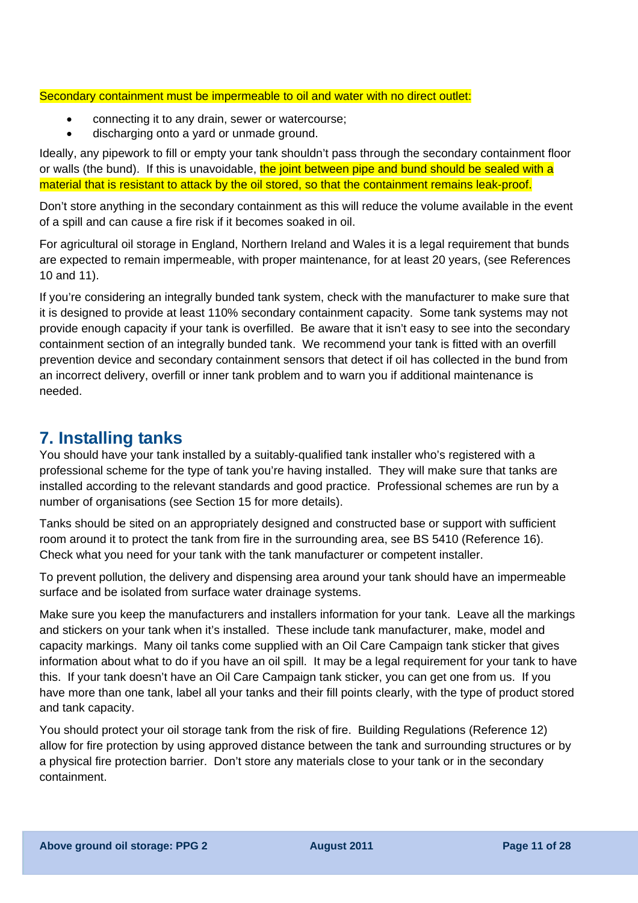#### Secondary containment must be impermeable to oil and water with no direct outlet:

- connecting it to any drain, sewer or watercourse;
- discharging onto a yard or unmade ground.

Ideally, any pipework to fill or empty your tank shouldn't pass through the secondary containment floor or walls (the bund). If this is unavoidable, the joint between pipe and bund should be sealed with a material that is resistant to attack by the oil stored, so that the containment remains leak-proof.

Don't store anything in the secondary containment as this will reduce the volume available in the event of a spill and can cause a fire risk if it becomes soaked in oil.

For agricultural oil storage in England, Northern Ireland and Wales it is a legal requirement that bunds are expected to remain impermeable, with proper maintenance, for at least 20 years, (see References 10 and 11).

If you're considering an integrally bunded tank system, check with the manufacturer to make sure that it is designed to provide at least 110% secondary containment capacity. Some tank systems may not provide enough capacity if your tank is overfilled. Be aware that it isn't easy to see into the secondary containment section of an integrally bunded tank. We recommend your tank is fitted with an overfill prevention device and secondary containment sensors that detect if oil has collected in the bund from an incorrect delivery, overfill or inner tank problem and to warn you if additional maintenance is needed.

## **7. Installing tanks**

You should have your tank installed by a suitably-qualified tank installer who's registered with a professional scheme for the type of tank you're having installed. They will make sure that tanks are installed according to the relevant standards and good practice. Professional schemes are run by a number of organisations (see Section 15 for more details).

Tanks should be sited on an appropriately designed and constructed base or support with sufficient room around it to protect the tank from fire in the surrounding area, see BS 5410 (Reference 16). Check what you need for your tank with the tank manufacturer or competent installer.

To prevent pollution, the delivery and dispensing area around your tank should have an impermeable surface and be isolated from surface water drainage systems.

Make sure you keep the manufacturers and installers information for your tank. Leave all the markings and stickers on your tank when it's installed. These include tank manufacturer, make, model and capacity markings. Many oil tanks come supplied with an Oil Care Campaign tank sticker that gives information about what to do if you have an oil spill. It may be a legal requirement for your tank to have this. If your tank doesn't have an Oil Care Campaign tank sticker, you can get one from us. If you have more than one tank, label all your tanks and their fill points clearly, with the type of product stored and tank capacity.

You should protect your oil storage tank from the risk of fire. Building Regulations (Reference 12) allow for fire protection by using approved distance between the tank and surrounding structures or by a physical fire protection barrier. Don't store any materials close to your tank or in the secondary containment.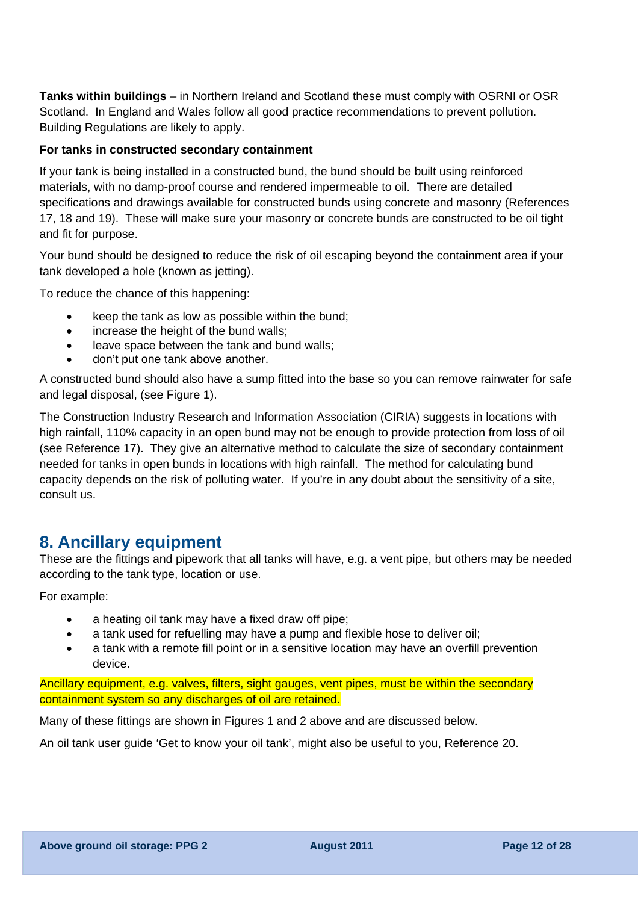**Tanks within buildings** – in Northern Ireland and Scotland these must comply with OSRNI or OSR Scotland. In England and Wales follow all good practice recommendations to prevent pollution. Building Regulations are likely to apply.

### **For tanks in constructed secondary containment**

If your tank is being installed in a constructed bund, the bund should be built using reinforced materials, with no damp-proof course and rendered impermeable to oil. There are detailed specifications and drawings available for constructed bunds using concrete and masonry (References 17, 18 and 19). These will make sure your masonry or concrete bunds are constructed to be oil tight and fit for purpose.

Your bund should be designed to reduce the risk of oil escaping beyond the containment area if your tank developed a hole (known as jetting).

To reduce the chance of this happening:

- keep the tank as low as possible within the bund;
- increase the height of the bund walls;
- leave space between the tank and bund walls;
- don't put one tank above another.

A constructed bund should also have a sump fitted into the base so you can remove rainwater for safe and legal disposal, (see Figure 1).

The Construction Industry Research and Information Association (CIRIA) suggests in locations with high rainfall, 110% capacity in an open bund may not be enough to provide protection from loss of oil (see Reference 17). They give an alternative method to calculate the size of secondary containment needed for tanks in open bunds in locations with high rainfall. The method for calculating bund capacity depends on the risk of polluting water. If you're in any doubt about the sensitivity of a site, consult us.

## **8. Ancillary equipment**

These are the fittings and pipework that all tanks will have, e.g. a vent pipe, but others may be needed according to the tank type, location or use.

For example:

- a heating oil tank may have a fixed draw off pipe;
- a tank used for refuelling may have a pump and flexible hose to deliver oil;
- a tank with a remote fill point or in a sensitive location may have an overfill prevention device.

Ancillary equipment, e.g. valves, filters, sight gauges, vent pipes, must be within the secondary containment system so any discharges of oil are retained.

Many of these fittings are shown in Figures 1 and 2 above and are discussed below.

An oil tank user guide 'Get to know your oil tank', might also be useful to you, Reference 20.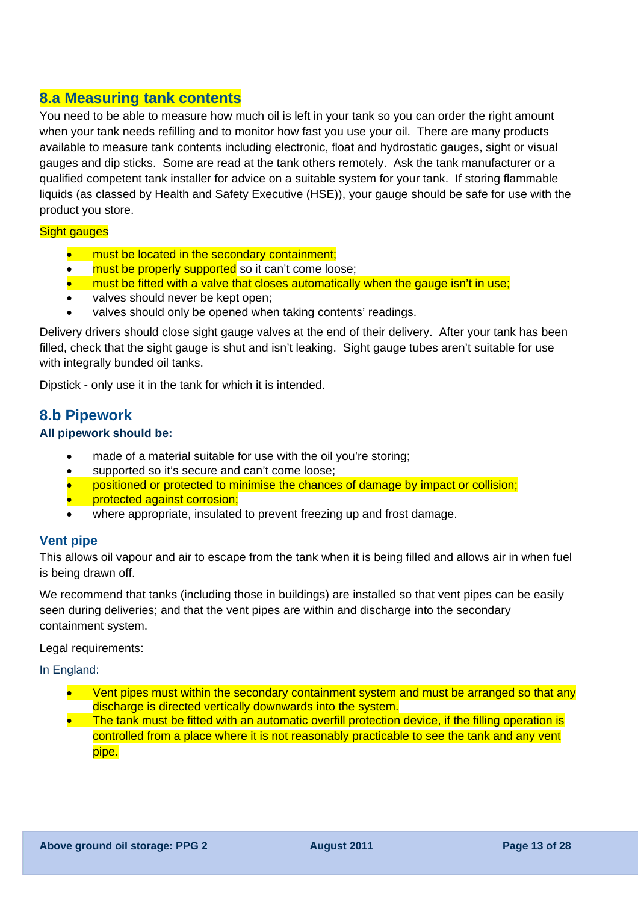## **8.a Measuring tank contents**

You need to be able to measure how much oil is left in your tank so you can order the right amount when your tank needs refilling and to monitor how fast you use your oil. There are many products available to measure tank contents including electronic, float and hydrostatic gauges, sight or visual gauges and dip sticks. Some are read at the tank others remotely. Ask the tank manufacturer or a qualified competent tank installer for advice on a suitable system for your tank. If storing flammable liquids (as classed by Health and Safety Executive (HSE)), your gauge should be safe for use with the product you store.

#### **Sight gauges**

- must be located in the secondary containment;
- must be properly supported so it can't come loose;
- must be fitted with a valve that closes automatically when the gauge isn't in use;
- valves should never be kept open:
- valves should only be opened when taking contents' readings.

Delivery drivers should close sight gauge valves at the end of their delivery. After your tank has been filled, check that the sight gauge is shut and isn't leaking. Sight gauge tubes aren't suitable for use with integrally bunded oil tanks.

Dipstick - only use it in the tank for which it is intended.

### **8.b Pipework**

#### **All pipework should be:**

- made of a material suitable for use with the oil you're storing;
- supported so it's secure and can't come loose;
- positioned or protected to minimise the chances of damage by impact or collision;
- protected against corrosion;
- where appropriate, insulated to prevent freezing up and frost damage.

#### **Vent pipe**

This allows oil vapour and air to escape from the tank when it is being filled and allows air in when fuel is being drawn off.

We recommend that tanks (including those in buildings) are installed so that vent pipes can be easily seen during deliveries; and that the vent pipes are within and discharge into the secondary containment system.

Legal requirements:

In England:

- Vent pipes must within the secondary containment system and must be arranged so that any discharge is directed vertically downwards into the system.
- The tank must be fitted with an automatic overfill protection device, if the filling operation is controlled from a place where it is not reasonably practicable to see the tank and any vent pipe.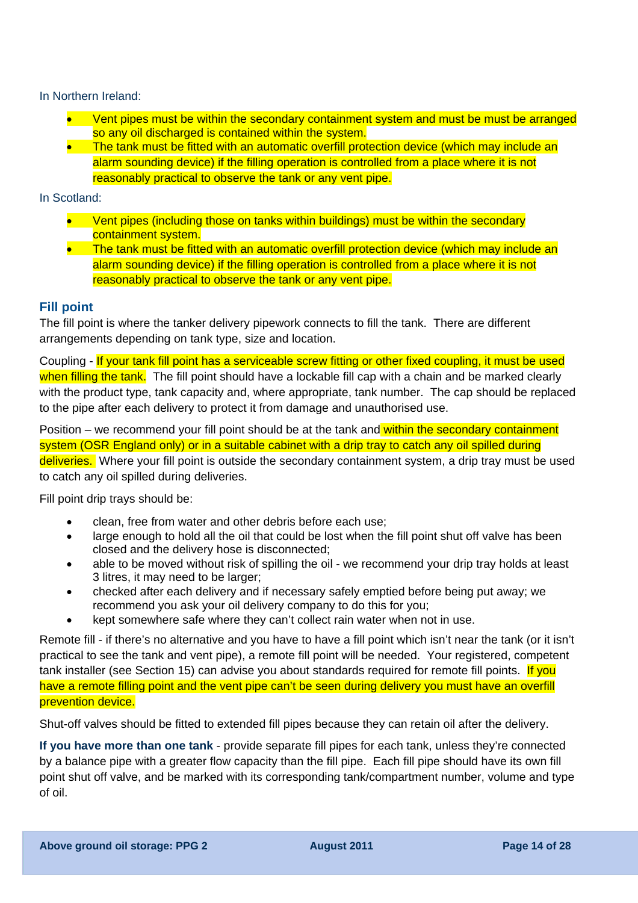In Northern Ireland:

- Vent pipes must be within the secondary containment system and must be must be arranged so any oil discharged is contained within the system.
- The tank must be fitted with an automatic overfill protection device (which may include an alarm sounding device) if the filling operation is controlled from a place where it is not reasonably practical to observe the tank or any vent pipe.

### In Scotland:

- Vent pipes (including those on tanks within buildings) must be within the secondary containment system.
- The tank must be fitted with an automatic overfill protection device (which may include an alarm sounding device) if the filling operation is controlled from a place where it is not reasonably practical to observe the tank or any vent pipe.

### **Fill point**

The fill point is where the tanker delivery pipework connects to fill the tank. There are different arrangements depending on tank type, size and location.

Coupling - If your tank fill point has a serviceable screw fitting or other fixed coupling, it must be used when filling the tank. The fill point should have a lockable fill cap with a chain and be marked clearly with the product type, tank capacity and, where appropriate, tank number. The cap should be replaced to the pipe after each delivery to protect it from damage and unauthorised use.

Position – we recommend your fill point should be at the tank and within the secondary containment system (OSR England only) or in a suitable cabinet with a drip tray to catch any oil spilled during deliveries. Where your fill point is outside the secondary containment system, a drip tray must be used to catch any oil spilled during deliveries.

Fill point drip trays should be:

- clean, free from water and other debris before each use;
- large enough to hold all the oil that could be lost when the fill point shut off valve has been closed and the delivery hose is disconnected;
- able to be moved without risk of spilling the oil we recommend your drip tray holds at least 3 litres, it may need to be larger;
- checked after each delivery and if necessary safely emptied before being put away; we recommend you ask your oil delivery company to do this for you;
- kept somewhere safe where they can't collect rain water when not in use.

Remote fill - if there's no alternative and you have to have a fill point which isn't near the tank (or it isn't practical to see the tank and vent pipe), a remote fill point will be needed. Your registered, competent tank installer (see Section 15) can advise you about standards required for remote fill points. If you have a remote filling point and the vent pipe can't be seen during delivery you must have an overfill prevention device.

Shut-off valves should be fitted to extended fill pipes because they can retain oil after the delivery.

**If you have more than one tank** - provide separate fill pipes for each tank, unless they're connected by a balance pipe with a greater flow capacity than the fill pipe. Each fill pipe should have its own fill point shut off valve, and be marked with its corresponding tank/compartment number, volume and type of oil.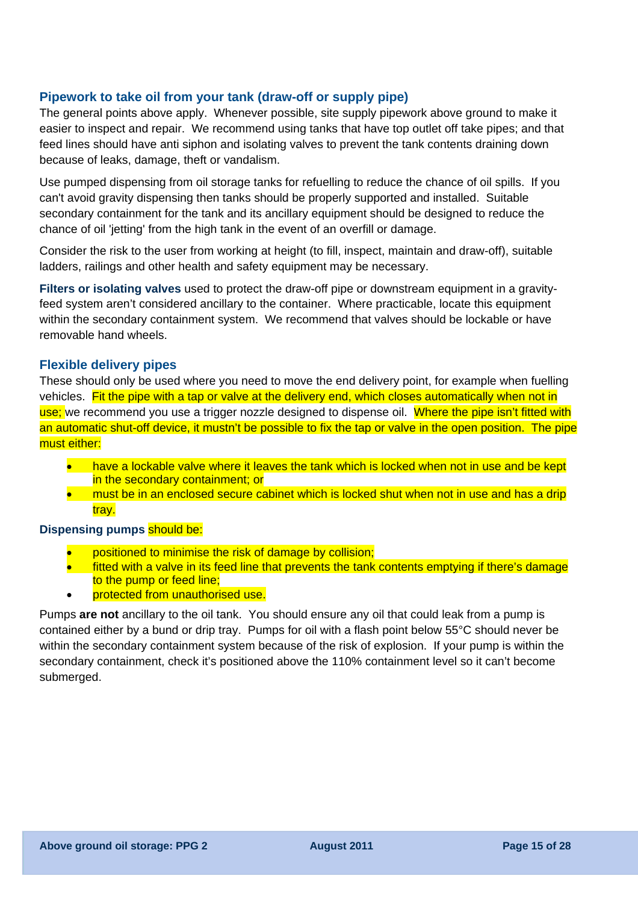### **Pipework to take oil from your tank (draw-off or supply pipe)**

The general points above apply. Whenever possible, site supply pipework above ground to make it easier to inspect and repair. We recommend using tanks that have top outlet off take pipes; and that feed lines should have anti siphon and isolating valves to prevent the tank contents draining down because of leaks, damage, theft or vandalism.

Use pumped dispensing from oil storage tanks for refuelling to reduce the chance of oil spills. If you can't avoid gravity dispensing then tanks should be properly supported and installed. Suitable secondary containment for the tank and its ancillary equipment should be designed to reduce the chance of oil 'jetting' from the high tank in the event of an overfill or damage.

Consider the risk to the user from working at height (to fill, inspect, maintain and draw-off), suitable ladders, railings and other health and safety equipment may be necessary.

**Filters or isolating valves** used to protect the draw-off pipe or downstream equipment in a gravityfeed system aren't considered ancillary to the container. Where practicable, locate this equipment within the secondary containment system. We recommend that valves should be lockable or have removable hand wheels.

#### **Flexible delivery pipes**

These should only be used where you need to move the end delivery point, for example when fuelling vehicles. Fit the pipe with a tap or valve at the delivery end, which closes automatically when not in use; we recommend you use a trigger nozzle designed to dispense oil. Where the pipe isn't fitted with an automatic shut-off device, it mustn't be possible to fix the tap or valve in the open position. The pipe must either:

- have a lockable valve where it leaves the tank which is locked when not in use and be kept in the secondary containment; or
- must be in an enclosed secure cabinet which is locked shut when not in use and has a drip tray.

#### **Dispensing pumps should be:**

- positioned to minimise the risk of damage by collision;
- fitted with a valve in its feed line that prevents the tank contents emptying if there's damage to the pump or feed line;
- protected from unauthorised use.

Pumps **are not** ancillary to the oil tank. You should ensure any oil that could leak from a pump is contained either by a bund or drip tray. Pumps for oil with a flash point below 55°C should never be within the secondary containment system because of the risk of explosion. If your pump is within the secondary containment, check it's positioned above the 110% containment level so it can't become submerged.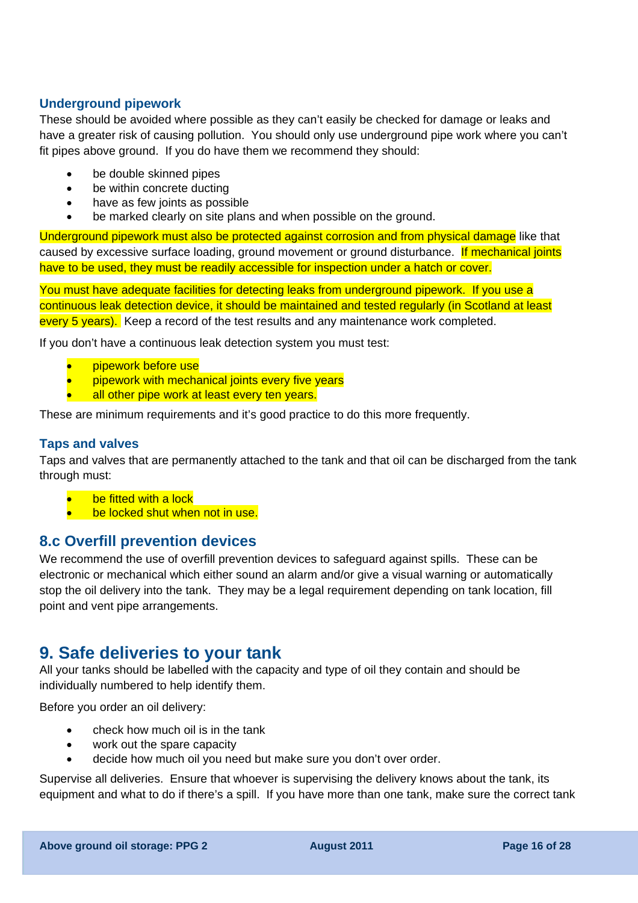### **Underground pipework**

These should be avoided where possible as they can't easily be checked for damage or leaks and have a greater risk of causing pollution. You should only use underground pipe work where you can't fit pipes above ground. If you do have them we recommend they should:

- be double skinned pipes
- be within concrete ducting
- have as few joints as possible
- be marked clearly on site plans and when possible on the ground.

Underground pipework must also be protected against corrosion and from physical damage like that caused by excessive surface loading, ground movement or ground disturbance. If mechanical joints have to be used, they must be readily accessible for inspection under a hatch or cover.

You must have adequate facilities for detecting leaks from underground pipework. If you use a continuous leak detection device, it should be maintained and tested regularly (in Scotland at least every 5 years). Keep a record of the test results and any maintenance work completed.

If you don't have a continuous leak detection system you must test:

- pipework before use
- pipework with mechanical joints every five years
- all other pipe work at least every ten years.

These are minimum requirements and it's good practice to do this more frequently.

### **Taps and valves**

Taps and valves that are permanently attached to the tank and that oil can be discharged from the tank through must:

- be fitted with a lock
- be locked shut when not in use.

### **8.c Overfill prevention devices**

We recommend the use of overfill prevention devices to safeguard against spills. These can be electronic or mechanical which either sound an alarm and/or give a visual warning or automatically stop the oil delivery into the tank. They may be a legal requirement depending on tank location, fill point and vent pipe arrangements.

## **9. Safe deliveries to your tank**

All your tanks should be labelled with the capacity and type of oil they contain and should be individually numbered to help identify them.

Before you order an oil delivery:

- check how much oil is in the tank
- work out the spare capacity
- decide how much oil you need but make sure you don't over order.

Supervise all deliveries. Ensure that whoever is supervising the delivery knows about the tank, its equipment and what to do if there's a spill. If you have more than one tank, make sure the correct tank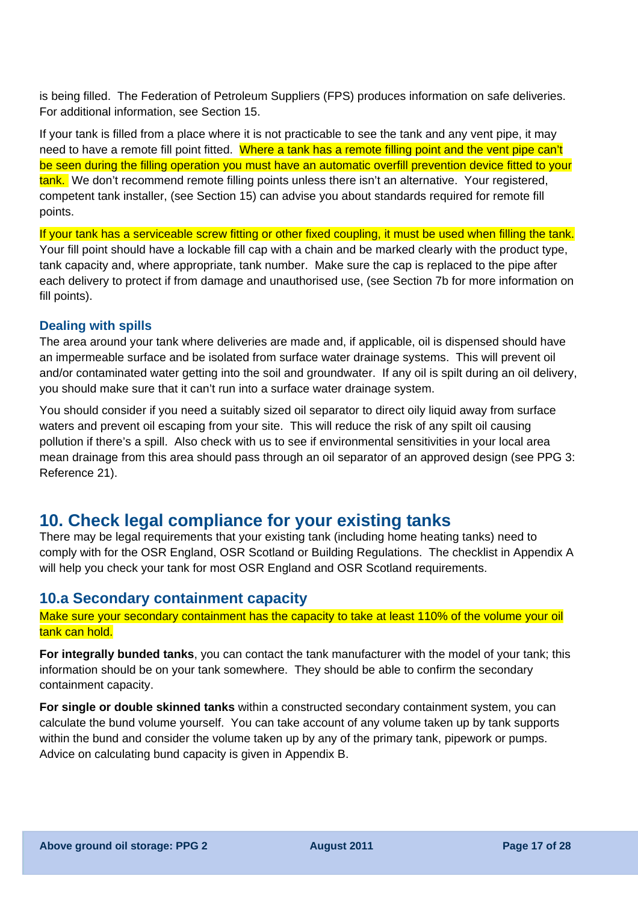is being filled. The Federation of Petroleum Suppliers (FPS) produces information on safe deliveries. For additional information, see Section 15.

If your tank is filled from a place where it is not practicable to see the tank and any vent pipe, it may need to have a remote fill point fitted. Where a tank has a remote filling point and the vent pipe can't be seen during the filling operation you must have an automatic overfill prevention device fitted to your tank. We don't recommend remote filling points unless there isn't an alternative. Your registered, competent tank installer, (see Section 15) can advise you about standards required for remote fill points.

If your tank has a serviceable screw fitting or other fixed coupling, it must be used when filling the tank. Your fill point should have a lockable fill cap with a chain and be marked clearly with the product type, tank capacity and, where appropriate, tank number. Make sure the cap is replaced to the pipe after each delivery to protect if from damage and unauthorised use, (see Section 7b for more information on fill points).

#### **Dealing with spills**

The area around your tank where deliveries are made and, if applicable, oil is dispensed should have an impermeable surface and be isolated from surface water drainage systems. This will prevent oil and/or contaminated water getting into the soil and groundwater. If any oil is spilt during an oil delivery, you should make sure that it can't run into a surface water drainage system.

You should consider if you need a suitably sized oil separator to direct oily liquid away from surface waters and prevent oil escaping from your site. This will reduce the risk of any spilt oil causing pollution if there's a spill. Also check with us to see if environmental sensitivities in your local area mean drainage from this area should pass through an oil separator of an approved design (see PPG 3: Reference 21).

## **10. Check legal compliance for your existing tanks**

There may be legal requirements that your existing tank (including home heating tanks) need to comply with for the OSR England, OSR Scotland or Building Regulations. The checklist in Appendix A will help you check your tank for most OSR England and OSR Scotland requirements.

### **10.a Secondary containment capacity**

Make sure your secondary containment has the capacity to take at least 110% of the volume your oil tank can hold.

**For integrally bunded tanks**, you can contact the tank manufacturer with the model of your tank; this information should be on your tank somewhere. They should be able to confirm the secondary containment capacity.

**For single or double skinned tanks** within a constructed secondary containment system, you can calculate the bund volume yourself. You can take account of any volume taken up by tank supports within the bund and consider the volume taken up by any of the primary tank, pipework or pumps. Advice on calculating bund capacity is given in Appendix B.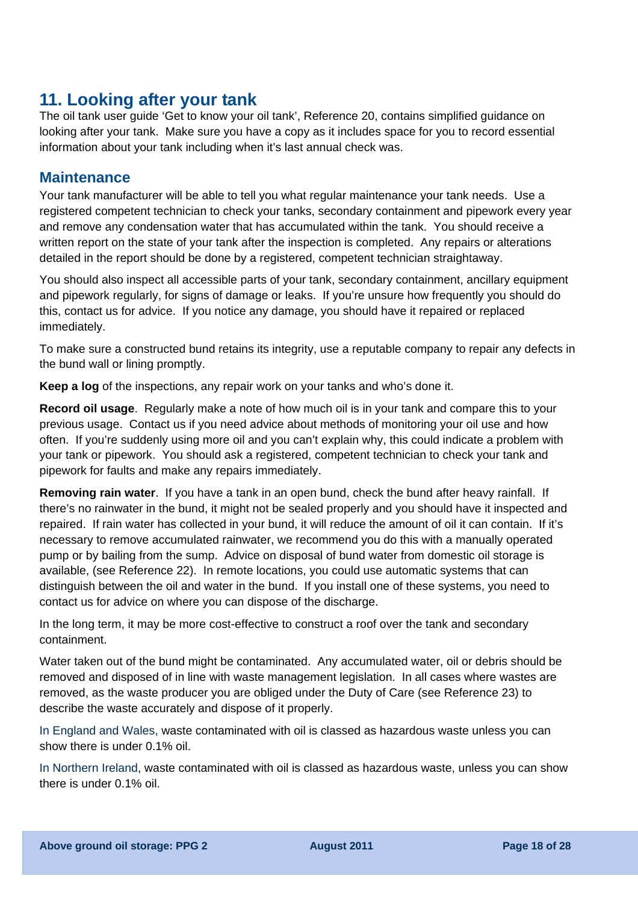## **11. Looking after your tank**

The oil tank user guide 'Get to know your oil tank', Reference 20, contains simplified guidance on looking after your tank. Make sure you have a copy as it includes space for you to record essential information about your tank including when it's last annual check was.

### **Maintenance**

Your tank manufacturer will be able to tell you what regular maintenance your tank needs. Use a registered competent technician to check your tanks, secondary containment and pipework every year and remove any condensation water that has accumulated within the tank. You should receive a written report on the state of your tank after the inspection is completed. Any repairs or alterations detailed in the report should be done by a registered, competent technician straightaway.

You should also inspect all accessible parts of your tank, secondary containment, ancillary equipment and pipework regularly, for signs of damage or leaks. If you're unsure how frequently you should do this, contact us for advice. If you notice any damage, you should have it repaired or replaced immediately.

To make sure a constructed bund retains its integrity, use a reputable company to repair any defects in the bund wall or lining promptly.

**Keep a log** of the inspections, any repair work on your tanks and who's done it.

**Record oil usage**. Regularly make a note of how much oil is in your tank and compare this to your previous usage. Contact us if you need advice about methods of monitoring your oil use and how often. If you're suddenly using more oil and you can't explain why, this could indicate a problem with your tank or pipework. You should ask a registered, competent technician to check your tank and pipework for faults and make any repairs immediately.

**Removing rain water**. If you have a tank in an open bund, check the bund after heavy rainfall. If there's no rainwater in the bund, it might not be sealed properly and you should have it inspected and repaired. If rain water has collected in your bund, it will reduce the amount of oil it can contain. If it's necessary to remove accumulated rainwater, we recommend you do this with a manually operated pump or by bailing from the sump. Advice on disposal of bund water from domestic oil storage is available, (see Reference 22). In remote locations, you could use automatic systems that can distinguish between the oil and water in the bund. If you install one of these systems, you need to contact us for advice on where you can dispose of the discharge.

In the long term, it may be more cost-effective to construct a roof over the tank and secondary containment.

Water taken out of the bund might be contaminated. Any accumulated water, oil or debris should be removed and disposed of in line with waste management legislation. In all cases where wastes are removed, as the waste producer you are obliged under the Duty of Care (see Reference 23) to describe the waste accurately and dispose of it properly.

In England and Wales, waste contaminated with oil is classed as hazardous waste unless you can show there is under 0.1% oil.

In Northern Ireland, waste contaminated with oil is classed as hazardous waste, unless you can show there is under 0.1% oil.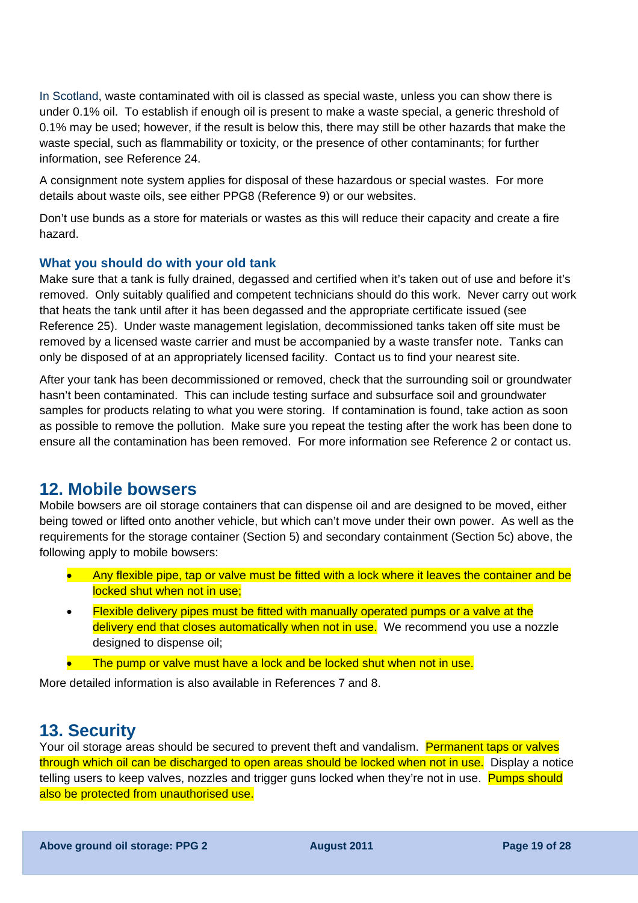In Scotland, waste contaminated with oil is classed as special waste, unless you can show there is under 0.1% oil. To establish if enough oil is present to make a waste special, a generic threshold of 0.1% may be used; however, if the result is below this, there may still be other hazards that make the waste special, such as flammability or toxicity, or the presence of other contaminants; for further information, see Reference 24.

A consignment note system applies for disposal of these hazardous or special wastes. For more details about waste oils, see either PPG8 (Reference 9) or our websites.

Don't use bunds as a store for materials or wastes as this will reduce their capacity and create a fire hazard.

#### **What you should do with your old tank**

Make sure that a tank is fully drained, degassed and certified when it's taken out of use and before it's removed. Only suitably qualified and competent technicians should do this work. Never carry out work that heats the tank until after it has been degassed and the appropriate certificate issued (see Reference 25). Under waste management legislation, decommissioned tanks taken off site must be removed by a licensed waste carrier and must be accompanied by a waste transfer note. Tanks can only be disposed of at an appropriately licensed facility. Contact us to find your nearest site.

After your tank has been decommissioned or removed, check that the surrounding soil or groundwater hasn't been contaminated. This can include testing surface and subsurface soil and groundwater samples for products relating to what you were storing. If contamination is found, take action as soon as possible to remove the pollution. Make sure you repeat the testing after the work has been done to ensure all the contamination has been removed. For more information see Reference 2 or contact us.

## **12. Mobile bowsers**

Mobile bowsers are oil storage containers that can dispense oil and are designed to be moved, either being towed or lifted onto another vehicle, but which can't move under their own power. As well as the requirements for the storage container (Section 5) and secondary containment (Section 5c) above, the following apply to mobile bowsers:

- Any flexible pipe, tap or valve must be fitted with a lock where it leaves the container and be locked shut when not in use;
- Flexible delivery pipes must be fitted with manually operated pumps or a valve at the delivery end that closes automatically when not in use. We recommend you use a nozzle designed to dispense oil;
- The pump or valve must have a lock and be locked shut when not in use.

More detailed information is also available in References 7 and 8.

## **13. Security**

Your oil storage areas should be secured to prevent theft and vandalism. Permanent taps or valves through which oil can be discharged to open areas should be locked when not in use. Display a notice telling users to keep valves, nozzles and trigger guns locked when they're not in use. Pumps should also be protected from unauthorised use.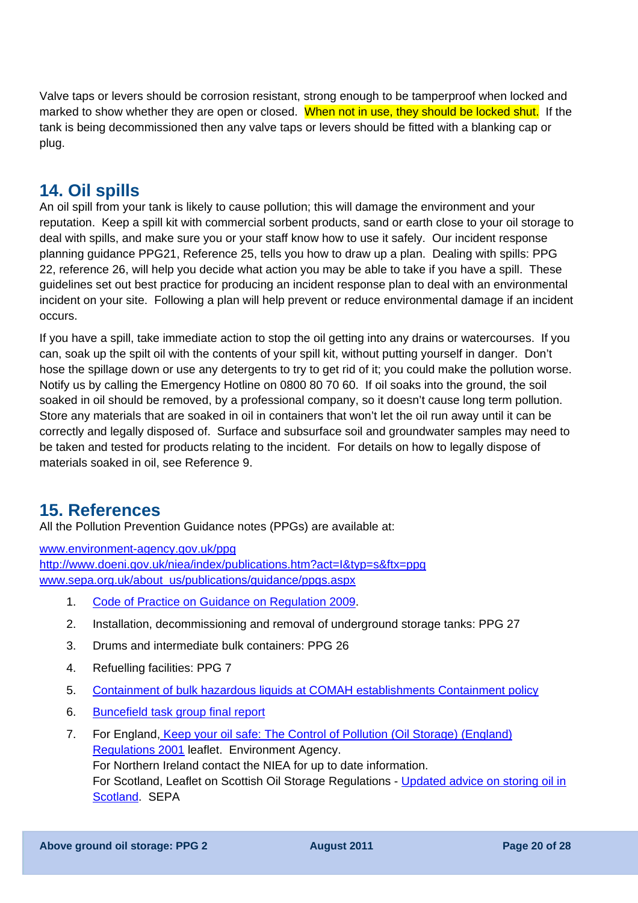Valve taps or levers should be corrosion resistant, strong enough to be tamperproof when locked and marked to show whether they are open or closed. When not in use, they should be locked shut. If the tank is being decommissioned then any valve taps or levers should be fitted with a blanking cap or plug.

## **14. Oil spills**

An oil spill from your tank is likely to cause pollution; this will damage the environment and your reputation. Keep a spill kit with commercial sorbent products, sand or earth close to your oil storage to deal with spills, and make sure you or your staff know how to use it safely. Our incident response planning guidance PPG21, Reference 25, tells you how to draw up a plan. Dealing with spills: PPG 22, reference 26, will help you decide what action you may be able to take if you have a spill. These guidelines set out best practice for producing an incident response plan to deal with an environmental incident on your site. Following a plan will help prevent or reduce environmental damage if an incident occurs.

If you have a spill, take immediate action to stop the oil getting into any drains or watercourses. If you can, soak up the spilt oil with the contents of your spill kit, without putting yourself in danger. Don't hose the spillage down or use any detergents to try to get rid of it; you could make the pollution worse. Notify us by calling the Emergency Hotline on 0800 80 70 60. If oil soaks into the ground, the soil soaked in oil should be removed, by a professional company, so it doesn't cause long term pollution. Store any materials that are soaked in oil in containers that won't let the oil run away until it can be correctly and legally disposed of. Surface and subsurface soil and groundwater samples may need to be taken and tested for products relating to the incident. For details on how to legally dispose of materials soaked in oil, see Reference 9.

## **15. References**

All the Pollution Prevention Guidance notes (PPGs) are available at:

[www.environment-agency.gov.uk/ppg](http://www.environment-agency.gov.uk/ppg) <http://www.doeni.gov.uk/niea/index/publications.htm?act=I&typ=s&ftx=ppg> www.sepa.org.uk/about\_us/publications/guidance/ppgs.aspx

- 1. [Code of Practice on Guidance on Regulation 2009.](http://www.bis.gov.uk/files/file53268.pdf)
- 2. Installation, decommissioning and removal of underground storage tanks: PPG 27
- 3. Drums and intermediate bulk containers: PPG 26
- 4. Refuelling facilities: PPG 7
- 5. [Containment of bulk hazardous liquids at COMAH establishments Containment policy](http://www.environment-agency.gov.uk/static/documents/Business/containmentpolicy_1961223.pdf)
- 6. [Buncefield task group final report](http://www.buncefieldinvestigation.gov.uk/reports/volume1.pdf)
- 7. For England, [Keep your oil safe: The Control of Pollution \(Oil Storage\) \(England\)](http://publications.environment-agency.gov.uk/pdf/PMHO0111BTKN-e-e.pdf)  [Regulations 2001](http://publications.environment-agency.gov.uk/pdf/PMHO0111BTKN-e-e.pdf) leaflet. Environment Agency. For Northern Ireland contact the NIEA for up to date information. For Scotland, Leaflet on Scottish Oil Storage Regulations - [Updated advice on storing oil in](http://www.sepa.org.uk/water/water_regulation/regimes/pollution_control/idoc.ashx?docid=75b17fd8-41d4-4a36-967c-79095736f1d5&version=-1)  [Scotland](http://www.sepa.org.uk/water/water_regulation/regimes/pollution_control/idoc.ashx?docid=75b17fd8-41d4-4a36-967c-79095736f1d5&version=-1). SEPA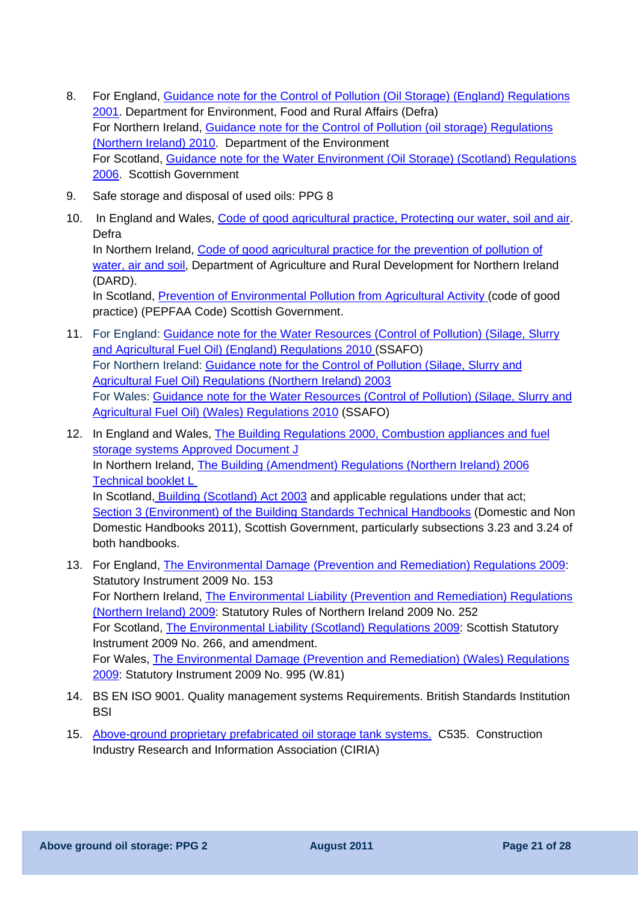- 8. For England, [Guidance note for the Control of Pollution \(Oil Storage\) \(England\) Regulations](http://archive.defra.gov.uk/environment/quality/water/waterquality/oilstore/documents/oil_store.pdf)  [2001.](http://archive.defra.gov.uk/environment/quality/water/waterquality/oilstore/documents/oil_store.pdf) Department for Environment, Food and Rural Affairs (Defra) For Northern Ireland, [Guidance note for the Control of Pollution \(oil storage\) Regulations](http://www.doeni.gov.uk/guidance_document_for_the_control_of_pollution__oil_storage__regulations__northern_ireland__2010.pdf)  [\(Northern Ireland\) 2010.](http://www.doeni.gov.uk/guidance_document_for_the_control_of_pollution__oil_storage__regulations__northern_ireland__2010.pdf) Department of the Environment For Scotland, [Guidance note for the Water Environment \(Oil Storage\) \(Scotland\) Regulations](http://www.scotland.gov.uk/Resource/Doc/1057/0029448.pdf)  [2006.](http://www.scotland.gov.uk/Resource/Doc/1057/0029448.pdf) Scottish Government
- 9. Safe storage and disposal of used oils: PPG 8
- 10. In England and Wales, [Code of good agricultural practice, Protecting our water, soil and air.](http://archive.defra.gov.uk/foodfarm/landmanage/cogap/documents/cogap090202.pdf) Defra In Northern Ireland, [Code of good agricultural practice for the prevention of pollution of](http://www.dardni.gov.uk/ruralni/code_of_good_agricultural_practice_2008_cmb-3.pdf)  [water, air and soil,](http://www.dardni.gov.uk/ruralni/code_of_good_agricultural_practice_2008_cmb-3.pdf) Department of Agriculture and Rural Development for Northern Ireland (DARD). In Scotland, [Prevention of Environmental Pollution from Agricultural Activity](http://www.scotland.gov.uk/Resource/Doc/37428/0014235.pdf) (code of good practice) (PEPFAA Code) Scottish Government.
- 11. For England: Guidance note for the Water Resources (Control of Pollution) (Silage, Slurry [and Agricultural Fuel Oil\) \(England\) Regulations 2010 \(](http://archive.defra.gov.uk/environment/quality/water/waterquality/diffuse/nitrate/documents/201009ssafo-england.pdf)SSAFO) For Northern Ireland: [Guidance note for the Control of Pollution \(Silage, Slurry and](http://www.doeni.gov.uk/niea/ssafo_guidance_notes.pdf)  [Agricultural Fuel Oil\) Regulations \(Northern Ireland\) 2003](http://www.doeni.gov.uk/niea/ssafo_guidance_notes.pdf) For Wales: [Guidance note for the Water Resources \(Control of Pollution\) \(Silage, Slurry and](http://wales.gov.uk/docs/drah/publications/20101213ssafoguidanceen.pdf)  [Agricultural Fuel Oil\) \(Wales\) Regulations 2010](http://wales.gov.uk/docs/drah/publications/20101213ssafoguidanceen.pdf) (SSAFO)
- 12. In England and Wales, The Building Regulations 2000, Combustion appliances and fuel [storage systems Approved Document J](http://www.planningportal.gov.uk/uploads/br/BR_PDF_ADJ_2010.pdf) In Northern Ireland, [The Building \(Amendment\) Regulations \(Northern Ireland\) 2006](http://www.dfpni.gov.uk/technical_booklet_l_2006-4.pdf)  [Technical booklet L](http://www.dfpni.gov.uk/technical_booklet_l_2006-4.pdf)  In Scotland, [Building \(Scotland\) Act 2003](http://www.legislation.gov.uk/asp/2003/8/contents) and applicable regulations under that act; [Section 3 \(Environment\) of the Building Standards Technical Handbooks](http://www.scotland.gov.uk/Topics/Built-Environment/Building/Building-standards/publications/pubtech) (Domestic and Non Domestic Handbooks 2011), Scottish Government, particularly subsections 3.23 and 3.24 of both handbooks.
- 13. For England, [The Environmental Damage \(Prevention and Remediation\) Regulations 2009](http://www.opsi.gov.uk/si/si2009/uksi_20090153_en_1): Statutory Instrument 2009 No. 153 For Northern Ireland, [The Environmental Liability \(Prevention and Remediation\) Regulations](http://www.opsi.gov.uk/sr/sr2009/nisr_20090252_en_1)  [\(Northern Ireland\) 2009:](http://www.opsi.gov.uk/sr/sr2009/nisr_20090252_en_1) Statutory Rules of Northern Ireland 2009 No. 252 For Scotland, [The Environmental Liability \(Scotland\) Regulations 2009:](http://www.legislation.gov.uk/ssi/2009/266/contents/made) Scottish Statutory Instrument 2009 No. 266, and amendment. For Wales, [The Environmental Damage \(Prevention and Remediation\) \(Wales\) Regulations](http://www.opsi.gov.uk/legislation/wales/wsi2009/wsi_20090995_en_1)  [2009:](http://www.opsi.gov.uk/legislation/wales/wsi2009/wsi_20090995_en_1) Statutory Instrument 2009 No. 995 (W.81)
- 14. BS EN ISO 9001. Quality management systems Requirements. British Standards Institution **BSI**
- 15. [Above-ground proprietary prefabricated oil storage tank systems.](http://www.ciria.org/service/Web_Site/AM/ContentManagerNet/ContentDisplay.aspx?Section=Web_Site&ContentID=8912) C535. Construction Industry Research and Information Association (CIRIA)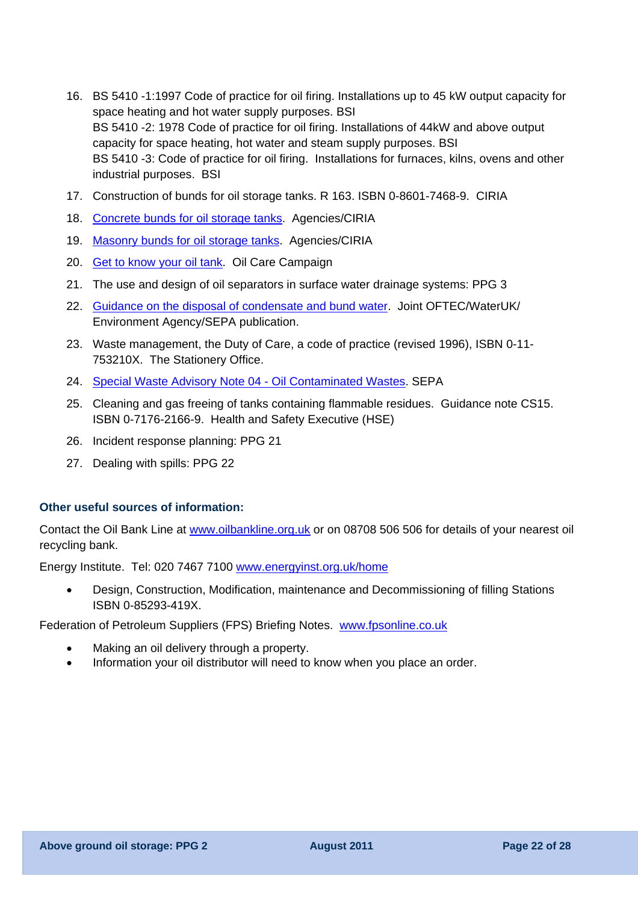- 16. BS 5410 -1:1997 Code of practice for oil firing. Installations up to 45 kW output capacity for space heating and hot water supply purposes. BSI BS 5410 -2: 1978 Code of practice for oil firing. Installations of 44kW and above output capacity for space heating, hot water and steam supply purposes. BSI BS 5410 -3: Code of practice for oil firing. Installations for furnaces, kilns, ovens and other industrial purposes. BSI
- 17. Construction of bunds for oil storage tanks. R 163. ISBN 0-8601-7468-9. CIRIA
- 18. [Concrete bunds for oil storage tanks](http://publications.environment-agency.gov.uk/PDF/PMHO300AYCK-E-E.pdf). Agencies/CIRIA
- 19. [Masonry bunds for oil storage tanks.](http://publications.environment-agency.gov.uk/PDF/PMHO1001AYCJ-E-E.pdf) Agencies/CIRIA
- 20. [Get to know your oil tank.](http://publications.environment-agency.gov.uk/PDF/PMHO0109BPCV-E-E.pdf) Oil Care Campaign
- 21. The use and design of oil separators in surface water drainage systems: PPG 3
- 22. [Guidance on the disposal of condensate and bund water.](http://www.oftec.org/documents/IS_39_bund_water.pdf) Joint OFTEC/WaterUK/ Environment Agency/SEPA publication.
- 23. Waste management, the Duty of Care, a code of practice (revised 1996), ISBN 0-11- 753210X. The Stationery Office.
- 24. [Special Waste Advisory Note 04 Oil Contaminated Wastes](http://www.sepa.org.uk/waste/waste_regulation/special_waste/idoc.ashx?docid=8054578e-0abc-4d35-bdea-b0524a4adc08&version=-1). SEPA
- 25. Cleaning and gas freeing of tanks containing flammable residues. Guidance note CS15. ISBN 0-7176-2166-9. Health and Safety Executive (HSE)
- 26. Incident response planning: PPG 21
- 27. Dealing with spills: PPG 22

#### **Other useful sources of information:**

Contact the Oil Bank Line at [www.oilbankline.org.uk](http://www.oilbankline.org.uk/) or on 08708 506 506 for details of your nearest oil recycling bank.

Energy Institute. Tel: 020 7467 7100 [www.energyinst.org.uk/](http://www.energyinst.org.uk/)home

• Design, Construction, Modification, maintenance and Decommissioning of filling Stations ISBN 0-85293-419X.

Federation of Petroleum Suppliers (FPS) Briefing Notes. [www.fpsonline.co.uk](http://www.fpsonline.co.uk/)

- Making an oil delivery through a property.
- Information your oil distributor will need to know when you place an order.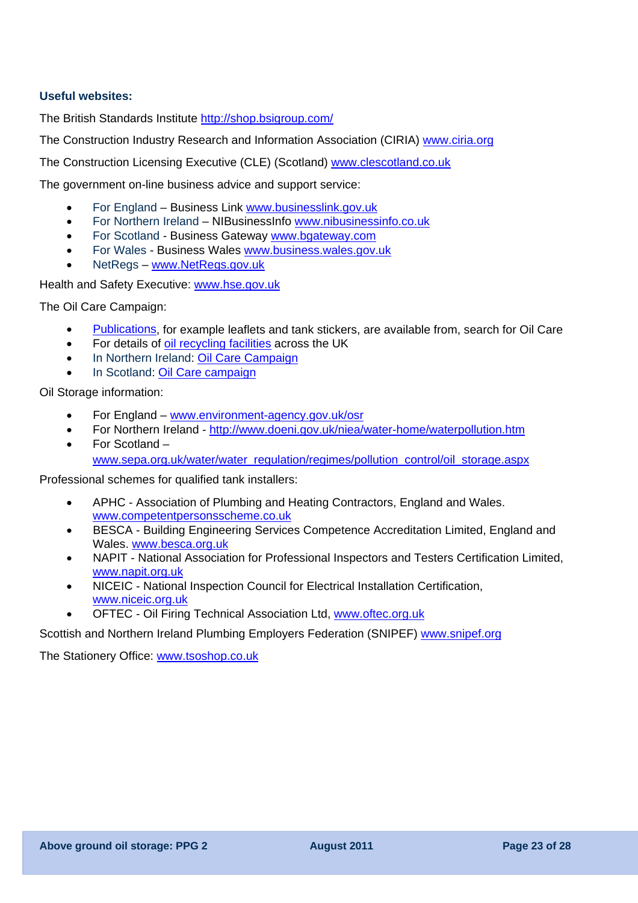### **Useful websites:**

The British Standards Institute<http://shop.bsigroup.com/>

The Construction Industry Research and Information Association (CIRIA) [www.ciria.org](http://www.ciria.org/)

The Construction Licensing Executive (CLE) (Scotland) [www.clescotland.co.uk](http://www.clescotland.co.uk/)

The government on-line business advice and support service:

- For England Business Link [www.businesslink.gov.uk](http://www.businesslink.gov.uk/)
- For Northern Ireland NIBusinessInfo [www.nibusinessinfo.co.uk](http://www.nibusinessinfo.co.uk/)
- For Scotland Business Gateway www.bgateway.com
- For Wales Business Wales [www.business.wales.gov.uk](http://www.business.wales.gov.uk/)
- NetRegs [www.NetRegs.gov.uk](http://www.netregs.gov.uk/)

Health and Safety Executive: [www.hse.gov.uk](http://www.hse.gov.uk/)

The Oil Care Campaign:

- [Publications,](http://publications.environment-agency.gov.uk/?lang=_e) for example leaflets and tank stickers, are available from, search for Oil Care
- For details of [oil recycling facilities](http://www.oilbankline.org.uk/oil-care-campaign.asp) across the UK
- In Northern Ireland: Oil Care Campaign
- In Scotland: [Oil Care campaign](http://www.sepa.org.uk/water/water_regulation/regimes/pollution_control/oil_storage/scottish_oil_care.aspx)

Oil Storage information:

- For England [www.environment-agency.gov.uk/osr](http://www.environment-agency.gov.uk/osr)
- For Northern Ireland http://www.doeni.gov.uk/niea/water-home/waterpollution.htm
- For Scotland [www.sepa.org.uk/water/water\\_regulation/regimes/pollution\\_control/oil\\_storage.aspx](http://www.sepa.org.uk/water/water_regulation/regimes/pollution_control/oil_storage.aspx)

Professional schemes for qualified tank installers:

- APHC Association of Plumbing and Heating Contractors, England and Wales. [www.competentpersonsscheme.co.uk](http://www.competentpersonsscheme.co.uk/)
- BESCA Building Engineering Services Competence Accreditation Limited, England and Wales. [www.besca.org.uk](http://www.besca.org.uk/)
- NAPIT National Association for Professional Inspectors and Testers Certification Limited, [www.napit.org.uk](http://www.napit.org.uk/)
- NICEIC National Inspection Council for Electrical Installation Certification, [www.niceic.org.uk](http://www.niceic.org.uk/)
- OFTEC Oil Firing Technical Association Ltd, [www.oftec.org.uk](http://www.oftec.org.uk/)

Scottish and Northern Ireland Plumbing Employers Federation (SNIPEF) [www.snipef.org](http://www.snipef.org/) 

The Stationery Office: [www.tsoshop.co.uk](http://www.tsoshop.co.uk/)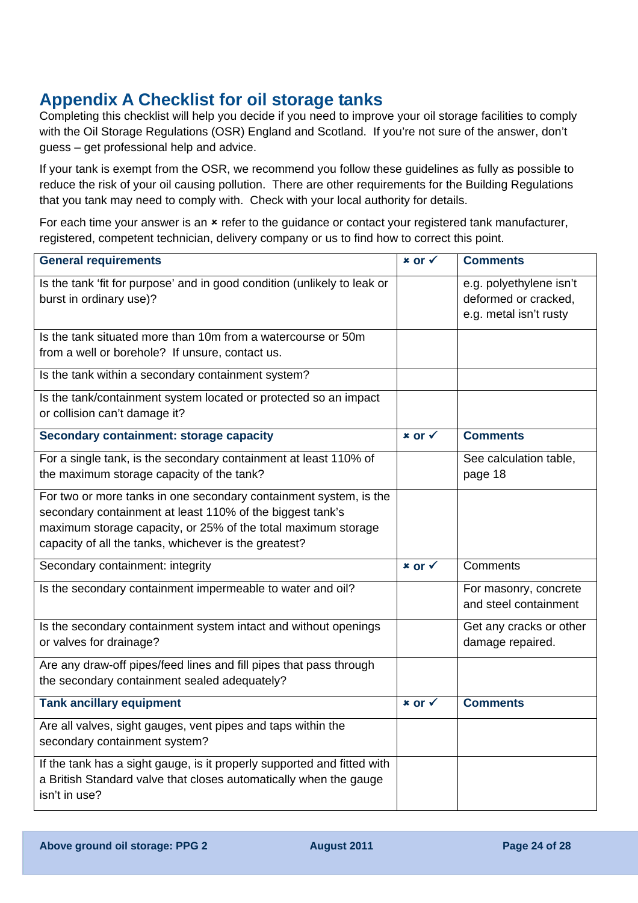## **Appendix A Checklist for oil storage tanks**

Completing this checklist will help you decide if you need to improve your oil storage facilities to comply with the Oil Storage Regulations (OSR) England and Scotland. If you're not sure of the answer, don't guess – get professional help and advice.

If your tank is exempt from the OSR, we recommend you follow these guidelines as fully as possible to reduce the risk of your oil causing pollution. There are other requirements for the Building Regulations that you tank may need to comply with. Check with your local authority for details.

For each time your answer is an  $*$  refer to the guidance or contact your registered tank manufacturer, registered, competent technician, delivery company or us to find how to correct this point.

| <b>General requirements</b>                                                                                                                                                                                                                              | $x$ or $\checkmark$ | <b>Comments</b>                                                           |
|----------------------------------------------------------------------------------------------------------------------------------------------------------------------------------------------------------------------------------------------------------|---------------------|---------------------------------------------------------------------------|
| Is the tank 'fit for purpose' and in good condition (unlikely to leak or<br>burst in ordinary use)?                                                                                                                                                      |                     | e.g. polyethylene isn't<br>deformed or cracked,<br>e.g. metal isn't rusty |
| Is the tank situated more than 10m from a watercourse or 50m<br>from a well or borehole? If unsure, contact us.                                                                                                                                          |                     |                                                                           |
| Is the tank within a secondary containment system?                                                                                                                                                                                                       |                     |                                                                           |
| Is the tank/containment system located or protected so an impact<br>or collision can't damage it?                                                                                                                                                        |                     |                                                                           |
| Secondary containment: storage capacity                                                                                                                                                                                                                  | $x$ or $\checkmark$ | <b>Comments</b>                                                           |
| For a single tank, is the secondary containment at least 110% of<br>the maximum storage capacity of the tank?                                                                                                                                            |                     | See calculation table,<br>page 18                                         |
| For two or more tanks in one secondary containment system, is the<br>secondary containment at least 110% of the biggest tank's<br>maximum storage capacity, or 25% of the total maximum storage<br>capacity of all the tanks, whichever is the greatest? |                     |                                                                           |
| Secondary containment: integrity                                                                                                                                                                                                                         | $x$ or $\checkmark$ | Comments                                                                  |
| Is the secondary containment impermeable to water and oil?                                                                                                                                                                                               |                     | For masonry, concrete<br>and steel containment                            |
| Is the secondary containment system intact and without openings<br>or valves for drainage?                                                                                                                                                               |                     | Get any cracks or other<br>damage repaired.                               |
| Are any draw-off pipes/feed lines and fill pipes that pass through<br>the secondary containment sealed adequately?                                                                                                                                       |                     |                                                                           |
| <b>Tank ancillary equipment</b>                                                                                                                                                                                                                          | × or √              | <b>Comments</b>                                                           |
| Are all valves, sight gauges, vent pipes and taps within the<br>secondary containment system?                                                                                                                                                            |                     |                                                                           |
| If the tank has a sight gauge, is it properly supported and fitted with<br>a British Standard valve that closes automatically when the gauge<br>isn't in use?                                                                                            |                     |                                                                           |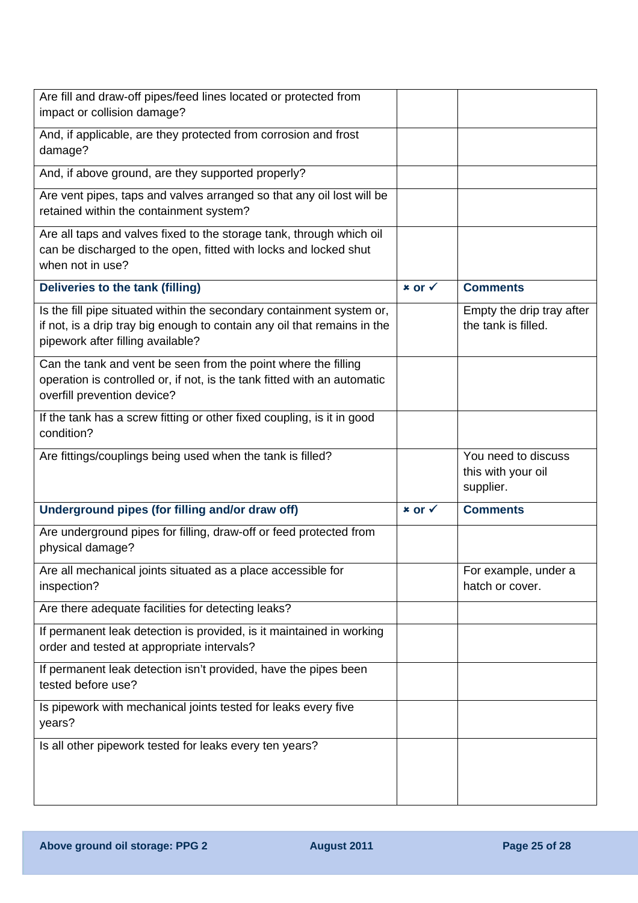| Are fill and draw-off pipes/feed lines located or protected from<br>impact or collision damage?                                                                                        |                     |                                                        |
|----------------------------------------------------------------------------------------------------------------------------------------------------------------------------------------|---------------------|--------------------------------------------------------|
| And, if applicable, are they protected from corrosion and frost<br>damage?                                                                                                             |                     |                                                        |
| And, if above ground, are they supported properly?                                                                                                                                     |                     |                                                        |
| Are vent pipes, taps and valves arranged so that any oil lost will be<br>retained within the containment system?                                                                       |                     |                                                        |
| Are all taps and valves fixed to the storage tank, through which oil<br>can be discharged to the open, fitted with locks and locked shut<br>when not in use?                           |                     |                                                        |
| Deliveries to the tank (filling)                                                                                                                                                       | $x$ or $\checkmark$ | <b>Comments</b>                                        |
| Is the fill pipe situated within the secondary containment system or,<br>if not, is a drip tray big enough to contain any oil that remains in the<br>pipework after filling available? |                     | Empty the drip tray after<br>the tank is filled.       |
| Can the tank and vent be seen from the point where the filling<br>operation is controlled or, if not, is the tank fitted with an automatic<br>overfill prevention device?              |                     |                                                        |
| If the tank has a screw fitting or other fixed coupling, is it in good<br>condition?                                                                                                   |                     |                                                        |
| Are fittings/couplings being used when the tank is filled?                                                                                                                             |                     | You need to discuss<br>this with your oil<br>supplier. |
| Underground pipes (for filling and/or draw off)                                                                                                                                        | $x$ or $\checkmark$ | <b>Comments</b>                                        |
| Are underground pipes for filling, draw-off or feed protected from<br>physical damage?                                                                                                 |                     |                                                        |
| Are all mechanical joints situated as a place accessible for<br>inspection?                                                                                                            |                     | For example, under a<br>hatch or cover.                |
| Are there adequate facilities for detecting leaks?                                                                                                                                     |                     |                                                        |
| If permanent leak detection is provided, is it maintained in working<br>order and tested at appropriate intervals?                                                                     |                     |                                                        |
| If permanent leak detection isn't provided, have the pipes been<br>tested before use?                                                                                                  |                     |                                                        |
| Is pipework with mechanical joints tested for leaks every five<br>years?                                                                                                               |                     |                                                        |
| Is all other pipework tested for leaks every ten years?                                                                                                                                |                     |                                                        |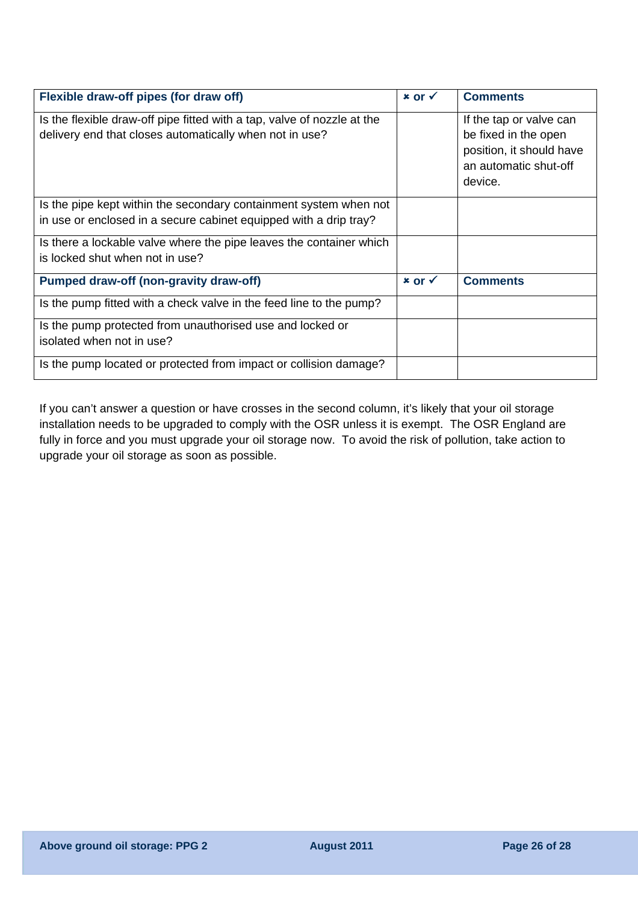| Flexible draw-off pipes (for draw off)                                                                                                 |                     | <b>Comments</b>                                                                                                 |
|----------------------------------------------------------------------------------------------------------------------------------------|---------------------|-----------------------------------------------------------------------------------------------------------------|
| Is the flexible draw-off pipe fitted with a tap, valve of nozzle at the<br>delivery end that closes automatically when not in use?     |                     | If the tap or valve can<br>be fixed in the open<br>position, it should have<br>an automatic shut-off<br>device. |
| Is the pipe kept within the secondary containment system when not<br>in use or enclosed in a secure cabinet equipped with a drip tray? |                     |                                                                                                                 |
| Is there a lockable valve where the pipe leaves the container which<br>is locked shut when not in use?                                 |                     |                                                                                                                 |
| <b>Pumped draw-off (non-gravity draw-off)</b>                                                                                          | $x$ or $\checkmark$ | <b>Comments</b>                                                                                                 |
| Is the pump fitted with a check valve in the feed line to the pump?                                                                    |                     |                                                                                                                 |
| Is the pump protected from unauthorised use and locked or<br>isolated when not in use?                                                 |                     |                                                                                                                 |
| Is the pump located or protected from impact or collision damage?                                                                      |                     |                                                                                                                 |

If you can't answer a question or have crosses in the second column, it's likely that your oil storage installation needs to be upgraded to comply with the OSR unless it is exempt. The OSR England are fully in force and you must upgrade your oil storage now. To avoid the risk of pollution, take action to upgrade your oil storage as soon as possible.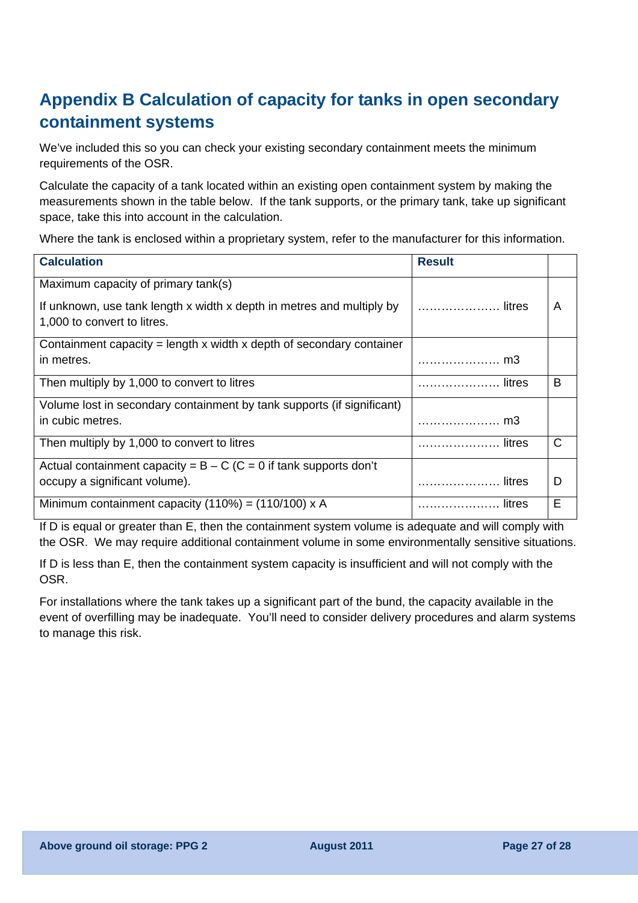## **Appendix B Calculation of capacity for tanks in open secondary containment systems**

We've included this so you can check your existing secondary containment meets the minimum requirements of the OSR.

Calculate the capacity of a tank located within an existing open containment system by making the measurements shown in the table below. If the tank supports, or the primary tank, take up significant space, take this into account in the calculation.

Where the tank is enclosed within a proprietary system, refer to the manufacturer for this information.

| <b>Calculation</b>                                                       | <b>Result</b> |   |
|--------------------------------------------------------------------------|---------------|---|
| Maximum capacity of primary tank(s)                                      |               |   |
| If unknown, use tank length x width x depth in metres and multiply by    | litres        | A |
| 1,000 to convert to litres.                                              |               |   |
| Containment capacity = length $x$ width $x$ depth of secondary container |               |   |
| in metres.                                                               |               |   |
| Then multiply by 1,000 to convert to litres                              | litres        | B |
| Volume lost in secondary containment by tank supports (if significant)   |               |   |
| in cubic metres.                                                         | m3            |   |
| Then multiply by 1,000 to convert to litres                              | litres        | C |
| Actual containment capacity = $B - C$ (C = 0 if tank supports don't      |               |   |
| occupy a significant volume).                                            |               | D |
| Minimum containment capacity $(110%) = (110/100) \times A$               | litres        | Е |

If D is equal or greater than E, then the containment system volume is adequate and will comply with the OSR. We may require additional containment volume in some environmentally sensitive situations.

If D is less than E, then the containment system capacity is insufficient and will not comply with the OSR.

For installations where the tank takes up a significant part of the bund, the capacity available in the event of overfilling may be inadequate. You'll need to consider delivery procedures and alarm systems to manage this risk.